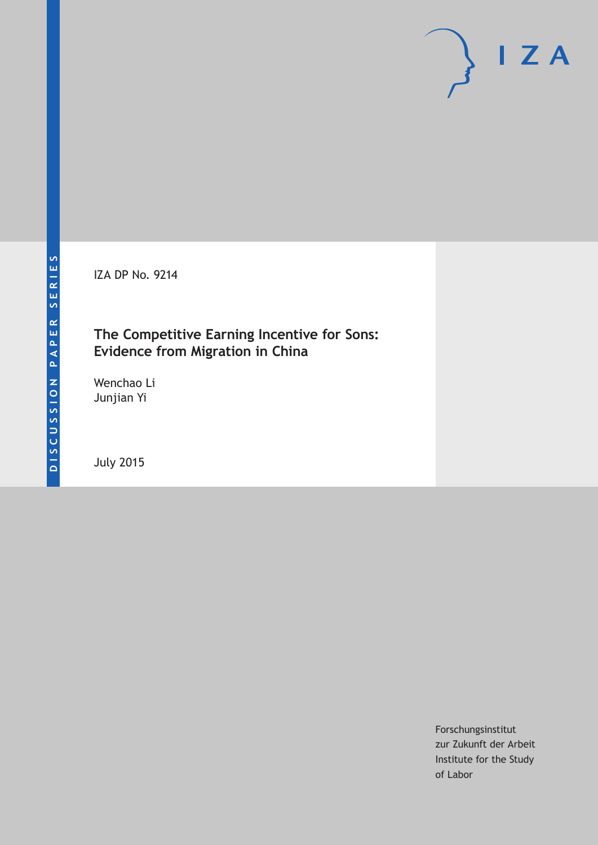IZA DP No. 9214

## **The Competitive Earning Incentive for Sons: Evidence from Migration in China**

Wenchao Li Junjian Yi

July 2015

Forschungsinstitut zur Zukunft der Arbeit Institute for the Study of Labor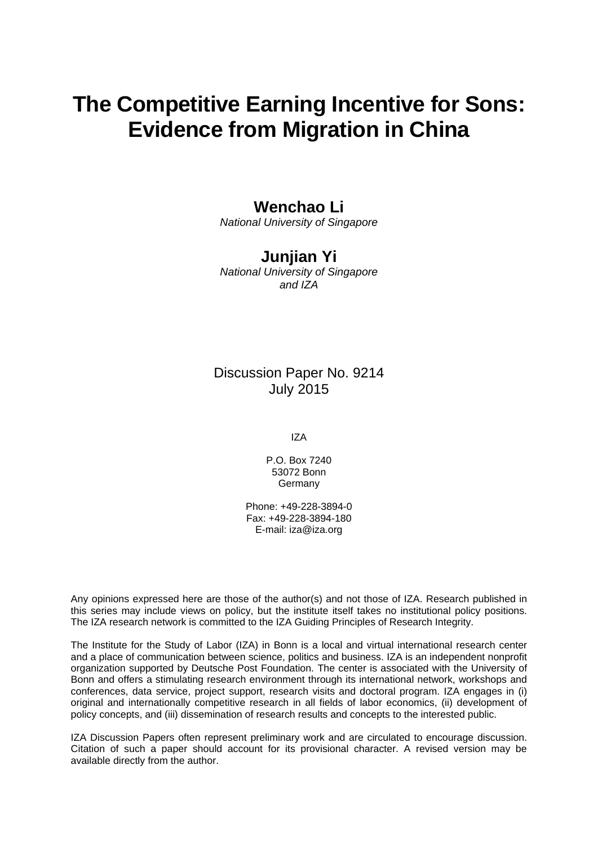# **The Competitive Earning Incentive for Sons: Evidence from Migration in China**

## **Wenchao Li**

*National University of Singapore* 

## **Junjian Yi**

*National University of Singapore and IZA* 

### Discussion Paper No. 9214 July 2015

IZA

P.O. Box 7240 53072 Bonn Germany

Phone: +49-228-3894-0 Fax: +49-228-3894-180 E-mail: iza@iza.org

Any opinions expressed here are those of the author(s) and not those of IZA. Research published in this series may include views on policy, but the institute itself takes no institutional policy positions. The IZA research network is committed to the IZA Guiding Principles of Research Integrity.

The Institute for the Study of Labor (IZA) in Bonn is a local and virtual international research center and a place of communication between science, politics and business. IZA is an independent nonprofit organization supported by Deutsche Post Foundation. The center is associated with the University of Bonn and offers a stimulating research environment through its international network, workshops and conferences, data service, project support, research visits and doctoral program. IZA engages in (i) original and internationally competitive research in all fields of labor economics, (ii) development of policy concepts, and (iii) dissemination of research results and concepts to the interested public.

IZA Discussion Papers often represent preliminary work and are circulated to encourage discussion. Citation of such a paper should account for its provisional character. A revised version may be available directly from the author.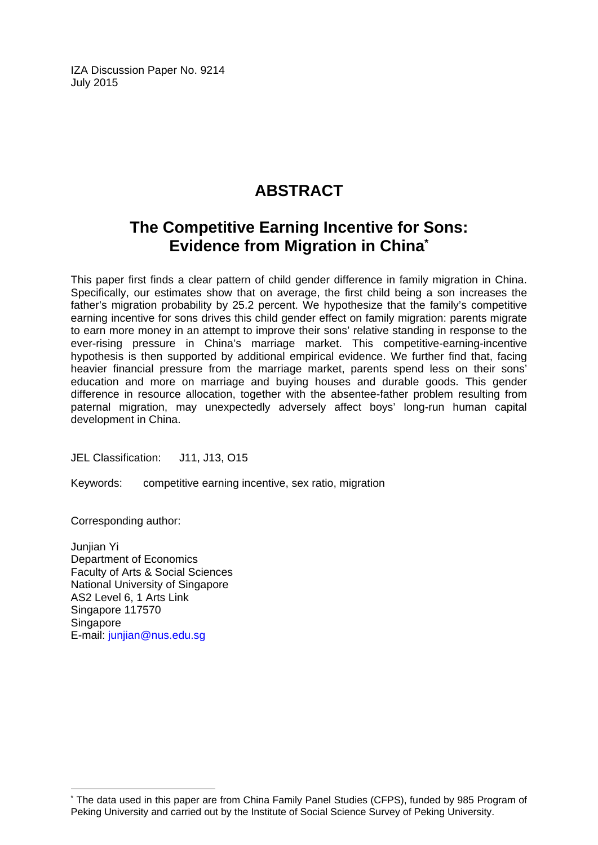IZA Discussion Paper No. 9214 July 2015

## **ABSTRACT**

## **The Competitive Earning Incentive for Sons: Evidence from Migration in China\***

This paper first finds a clear pattern of child gender difference in family migration in China. Specifically, our estimates show that on average, the first child being a son increases the father's migration probability by 25.2 percent. We hypothesize that the family's competitive earning incentive for sons drives this child gender effect on family migration: parents migrate to earn more money in an attempt to improve their sons' relative standing in response to the ever-rising pressure in China's marriage market. This competitive-earning-incentive hypothesis is then supported by additional empirical evidence. We further find that, facing heavier financial pressure from the marriage market, parents spend less on their sons' education and more on marriage and buying houses and durable goods. This gender difference in resource allocation, together with the absentee-father problem resulting from paternal migration, may unexpectedly adversely affect boys' long-run human capital development in China.

JEL Classification: J11, J13, O15

Keywords: competitive earning incentive, sex ratio, migration

Corresponding author:

 $\overline{a}$ 

Junjian Yi Department of Economics Faculty of Arts & Social Sciences National University of Singapore AS2 Level 6, 1 Arts Link Singapore 117570 **Singapore** E-mail: junjian@nus.edu.sg

<sup>\*</sup> The data used in this paper are from China Family Panel Studies (CFPS), funded by 985 Program of Peking University and carried out by the Institute of Social Science Survey of Peking University.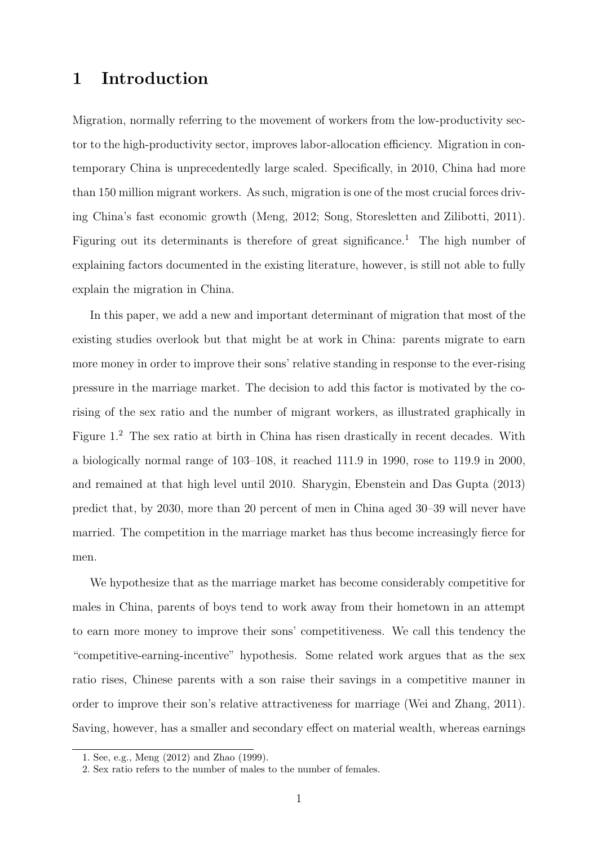## **1 Introduction**

Migration, normally referring to the movement of workers from the low-productivity sector to the high-productivity sector, improves labor-allocation efficiency. Migration in contemporary China is unprecedentedly large scaled. Specifically, in 2010, China had more than 150 million migrant workers. As such, migration is one of the most crucial forces driving China's fast economic growth (Meng, 2012; Song, Storesletten and Zilibotti, 2011). Figuring out its determinants is therefore of great significance.<sup>1</sup> The high number of explaining factors documented in the existing literature, however, is still not able to fully explain the migration in China.

In this paper, we add a new and important determinant of migration that most of the existing studies overlook but that might be at work in China: parents migrate to earn more money in order to improve their sons' relative standing in response to the ever-rising pressure in the marriage market. The decision to add this factor is motivated by the corising of the sex ratio and the number of migrant workers, as illustrated graphically in Figure 1. <sup>2</sup> The sex ratio at birth in China has risen drastically in recent decades. With a biologically normal range of 103–108, it reached 111.9 in 1990, rose to 119.9 in 2000, and remained at that high level until 2010. Sharygin, Ebenstein and Das Gupta (2013) predict that, by 2030, more than 20 percent of men in China aged 30–39 will never have married. The competition in the marriage market has thus become increasingly fierce for men.

We hypothesize that as the marriage market has become considerably competitive for males in China, parents of boys tend to work away from their hometown in an attempt to earn more money to improve their sons' competitiveness. We call this tendency the "competitive-earning-incentive" hypothesis. Some related work argues that as the sex ratio rises, Chinese parents with a son raise their savings in a competitive manner in order to improve their son's relative attractiveness for marriage (Wei and Zhang, 2011). Saving, however, has a smaller and secondary effect on material wealth, whereas earnings

<sup>1.</sup> See, e.g., Meng (2012) and Zhao (1999).

<sup>2.</sup> Sex ratio refers to the number of males to the number of females.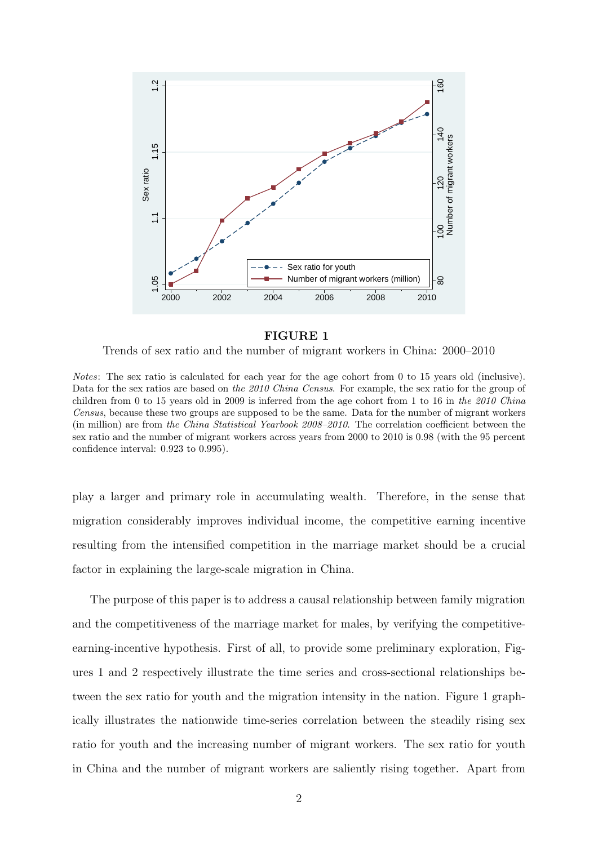

#### **FIGURE 1**

Trends of sex ratio and the number of migrant workers in China: 2000–2010

*Notes*: The sex ratio is calculated for each year for the age cohort from 0 to 15 years old (inclusive). Data for the sex ratios are based on *the 2010 China Census*. For example, the sex ratio for the group of children from 0 to 15 years old in 2009 is inferred from the age cohort from 1 to 16 in *the 2010 China Census*, because these two groups are supposed to be the same. Data for the number of migrant workers (in million) are from *the China Statistical Yearbook 2008–2010*. The correlation coefficient between the sex ratio and the number of migrant workers across years from 2000 to 2010 is 0.98 (with the 95 percent confidence interval: 0.923 to 0.995).

play a larger and primary role in accumulating wealth. Therefore, in the sense that migration considerably improves individual income, the competitive earning incentive resulting from the intensified competition in the marriage market should be a crucial factor in explaining the large-scale migration in China.

The purpose of this paper is to address a causal relationship between family migration and the competitiveness of the marriage market for males, by verifying the competitiveearning-incentive hypothesis. First of all, to provide some preliminary exploration, Figures 1 and 2 respectively illustrate the time series and cross-sectional relationships between the sex ratio for youth and the migration intensity in the nation. Figure 1 graphically illustrates the nationwide time-series correlation between the steadily rising sex ratio for youth and the increasing number of migrant workers. The sex ratio for youth in China and the number of migrant workers are saliently rising together. Apart from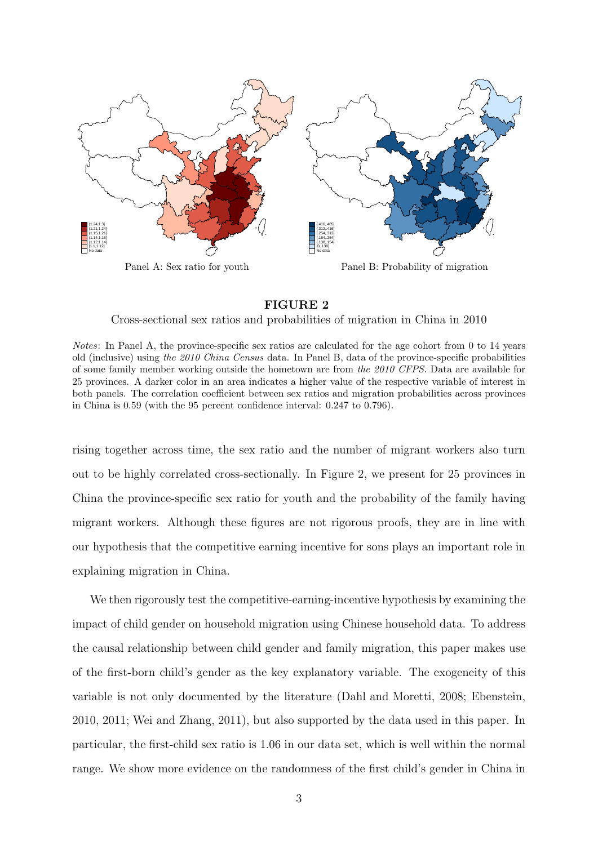

#### **FIGURE 2**

Cross-sectional sex ratios and probabilities of migration in China in 2010

*Notes*: In Panel A, the province-specific sex ratios are calculated for the age cohort from 0 to 14 years old (inclusive) using *the 2010 China Census* data. In Panel B, data of the province-specific probabilities of some family member working outside the hometown are from *the 2010 CFPS.* Data are available for 25 provinces. A darker color in an area indicates a higher value of the respective variable of interest in both panels. The correlation coefficient between sex ratios and migration probabilities across provinces in China is 0.59 (with the 95 percent confidence interval: 0.247 to 0.796).

rising together across time, the sex ratio and the number of migrant workers also turn out to be highly correlated cross-sectionally. In Figure 2, we present for 25 provinces in China the province-specific sex ratio for youth and the probability of the family having migrant workers. Although these figures are not rigorous proofs, they are in line with our hypothesis that the competitive earning incentive for sons plays an important role in explaining migration in China.

We then rigorously test the competitive-earning-incentive hypothesis by examining the impact of child gender on household migration using Chinese household data. To address the causal relationship between child gender and family migration, this paper makes use of the first-born child's gender as the key explanatory variable. The exogeneity of this variable is not only documented by the literature (Dahl and Moretti, 2008; Ebenstein, 2010, 2011; Wei and Zhang, 2011), but also supported by the data used in this paper. In particular, the first-child sex ratio is 1.06 in our data set, which is well within the normal range. We show more evidence on the randomness of the first child's gender in China in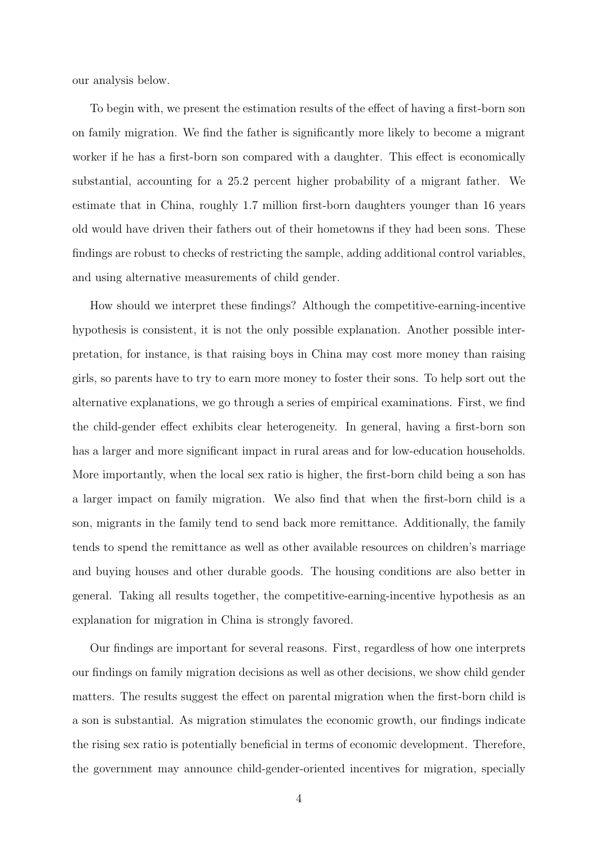our analysis below.

To begin with, we present the estimation results of the effect of having a first-born son on family migration. We find the father is significantly more likely to become a migrant worker if he has a first-born son compared with a daughter. This effect is economically substantial, accounting for a 25.2 percent higher probability of a migrant father. We estimate that in China, roughly 1.7 million first-born daughters younger than 16 years old would have driven their fathers out of their hometowns if they had been sons. These findings are robust to checks of restricting the sample, adding additional control variables, and using alternative measurements of child gender.

How should we interpret these findings? Although the competitive-earning-incentive hypothesis is consistent, it is not the only possible explanation. Another possible interpretation, for instance, is that raising boys in China may cost more money than raising girls, so parents have to try to earn more money to foster their sons. To help sort out the alternative explanations, we go through a series of empirical examinations. First, we find the child-gender effect exhibits clear heterogeneity. In general, having a first-born son has a larger and more significant impact in rural areas and for low-education households. More importantly, when the local sex ratio is higher, the first-born child being a son has a larger impact on family migration. We also find that when the first-born child is a son, migrants in the family tend to send back more remittance. Additionally, the family tends to spend the remittance as well as other available resources on children's marriage and buying houses and other durable goods. The housing conditions are also better in general. Taking all results together, the competitive-earning-incentive hypothesis as an explanation for migration in China is strongly favored.

Our findings are important for several reasons. First, regardless of how one interprets our findings on family migration decisions as well as other decisions, we show child gender matters. The results suggest the effect on parental migration when the first-born child is a son is substantial. As migration stimulates the economic growth, our findings indicate the rising sex ratio is potentially beneficial in terms of economic development. Therefore, the government may announce child-gender-oriented incentives for migration, specially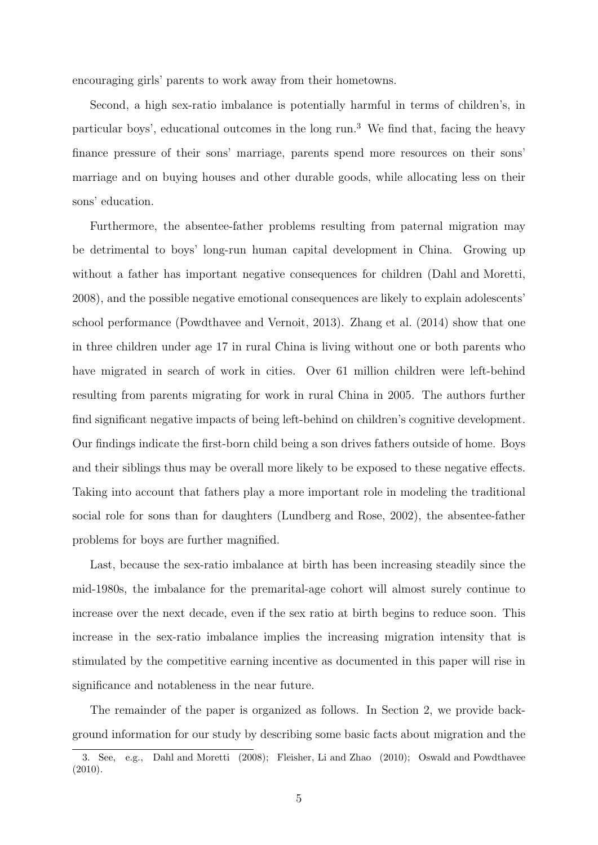encouraging girls' parents to work away from their hometowns.

Second, a high sex-ratio imbalance is potentially harmful in terms of children's, in particular boys', educational outcomes in the long run.<sup>3</sup> We find that, facing the heavy finance pressure of their sons' marriage, parents spend more resources on their sons' marriage and on buying houses and other durable goods, while allocating less on their sons' education.

Furthermore, the absentee-father problems resulting from paternal migration may be detrimental to boys' long-run human capital development in China. Growing up without a father has important negative consequences for children (Dahl and Moretti, 2008), and the possible negative emotional consequences are likely to explain adolescents' school performance (Powdthavee and Vernoit, 2013). Zhang et al. (2014) show that one in three children under age 17 in rural China is living without one or both parents who have migrated in search of work in cities. Over 61 million children were left-behind resulting from parents migrating for work in rural China in 2005. The authors further find significant negative impacts of being left-behind on children's cognitive development. Our findings indicate the first-born child being a son drives fathers outside of home. Boys and their siblings thus may be overall more likely to be exposed to these negative effects. Taking into account that fathers play a more important role in modeling the traditional social role for sons than for daughters (Lundberg and Rose, 2002), the absentee-father problems for boys are further magnified.

Last, because the sex-ratio imbalance at birth has been increasing steadily since the mid-1980s, the imbalance for the premarital-age cohort will almost surely continue to increase over the next decade, even if the sex ratio at birth begins to reduce soon. This increase in the sex-ratio imbalance implies the increasing migration intensity that is stimulated by the competitive earning incentive as documented in this paper will rise in significance and notableness in the near future.

The remainder of the paper is organized as follows. In Section 2, we provide background information for our study by describing some basic facts about migration and the

<sup>3.</sup> See, e.g., Dahl and Moretti (2008); Fleisher, Li and Zhao (2010); Oswald and Powdthavee (2010).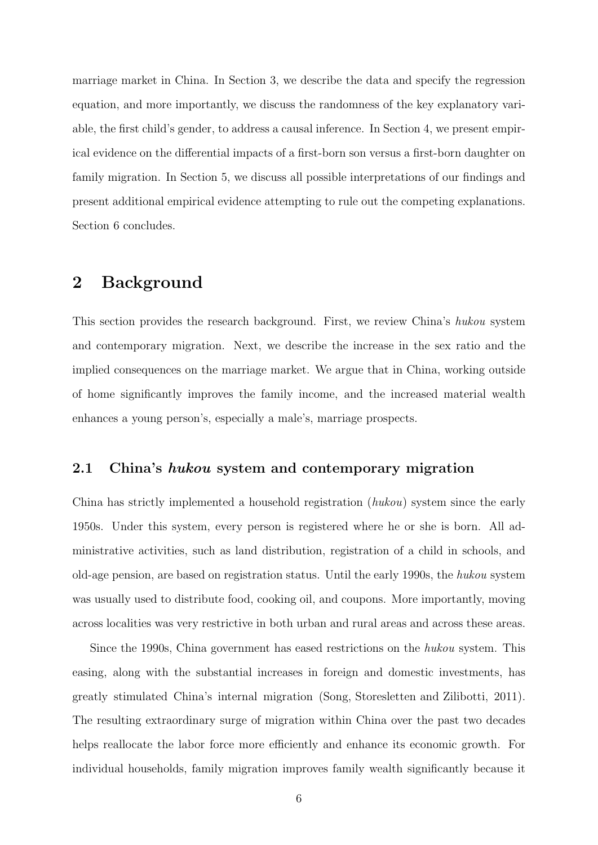marriage market in China. In Section 3, we describe the data and specify the regression equation, and more importantly, we discuss the randomness of the key explanatory variable, the first child's gender, to address a causal inference. In Section 4, we present empirical evidence on the differential impacts of a first-born son versus a first-born daughter on family migration. In Section 5, we discuss all possible interpretations of our findings and present additional empirical evidence attempting to rule out the competing explanations. Section 6 concludes.

## **2 Background**

This section provides the research background. First, we review China's *hukou* system and contemporary migration. Next, we describe the increase in the sex ratio and the implied consequences on the marriage market. We argue that in China, working outside of home significantly improves the family income, and the increased material wealth enhances a young person's, especially a male's, marriage prospects.

#### **2.1 China's** *hukou* **system and contemporary migration**

China has strictly implemented a household registration (*hukou*) system since the early 1950s. Under this system, every person is registered where he or she is born. All administrative activities, such as land distribution, registration of a child in schools, and old-age pension, are based on registration status. Until the early 1990s, the *hukou* system was usually used to distribute food, cooking oil, and coupons. More importantly, moving across localities was very restrictive in both urban and rural areas and across these areas.

Since the 1990s, China government has eased restrictions on the *hukou* system. This easing, along with the substantial increases in foreign and domestic investments, has greatly stimulated China's internal migration (Song, Storesletten and Zilibotti, 2011). The resulting extraordinary surge of migration within China over the past two decades helps reallocate the labor force more efficiently and enhance its economic growth. For individual households, family migration improves family wealth significantly because it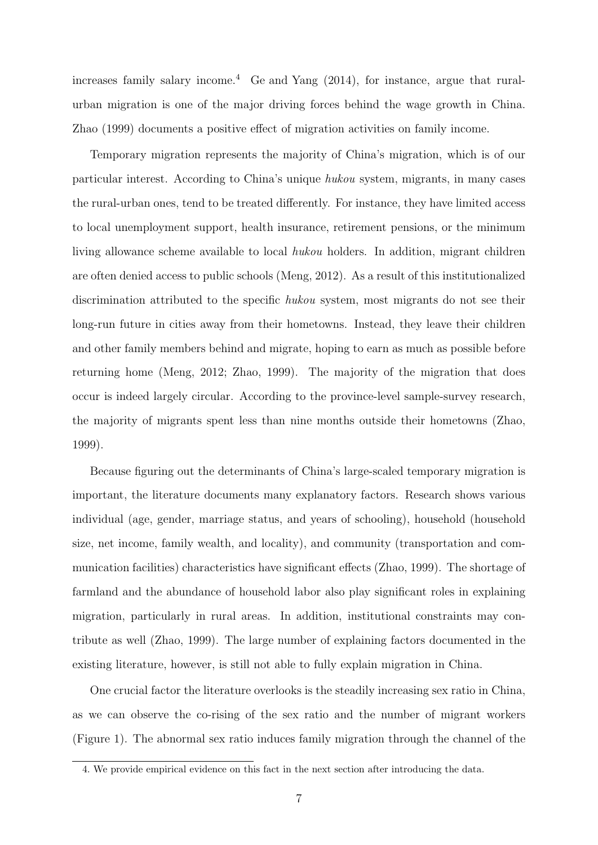increases family salary income.<sup>4</sup> Ge and Yang  $(2014)$ , for instance, argue that ruralurban migration is one of the major driving forces behind the wage growth in China. Zhao (1999) documents a positive effect of migration activities on family income.

Temporary migration represents the majority of China's migration, which is of our particular interest. According to China's unique *hukou* system, migrants, in many cases the rural-urban ones, tend to be treated differently. For instance, they have limited access to local unemployment support, health insurance, retirement pensions, or the minimum living allowance scheme available to local *hukou* holders. In addition, migrant children are often denied access to public schools (Meng, 2012). As a result of this institutionalized discrimination attributed to the specific *hukou* system, most migrants do not see their long-run future in cities away from their hometowns. Instead, they leave their children and other family members behind and migrate, hoping to earn as much as possible before returning home (Meng, 2012; Zhao, 1999). The majority of the migration that does occur is indeed largely circular. According to the province-level sample-survey research, the majority of migrants spent less than nine months outside their hometowns (Zhao, 1999).

Because figuring out the determinants of China's large-scaled temporary migration is important, the literature documents many explanatory factors. Research shows various individual (age, gender, marriage status, and years of schooling), household (household size, net income, family wealth, and locality), and community (transportation and communication facilities) characteristics have significant effects (Zhao, 1999). The shortage of farmland and the abundance of household labor also play significant roles in explaining migration, particularly in rural areas. In addition, institutional constraints may contribute as well (Zhao, 1999). The large number of explaining factors documented in the existing literature, however, is still not able to fully explain migration in China.

One crucial factor the literature overlooks is the steadily increasing sex ratio in China, as we can observe the co-rising of the sex ratio and the number of migrant workers (Figure 1). The abnormal sex ratio induces family migration through the channel of the

<sup>4.</sup> We provide empirical evidence on this fact in the next section after introducing the data.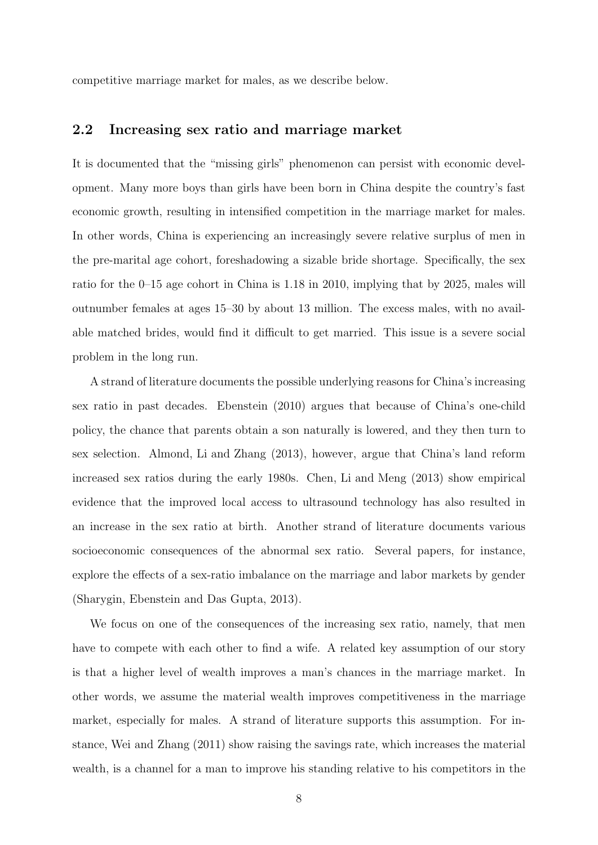competitive marriage market for males, as we describe below.

#### **2.2 Increasing sex ratio and marriage market**

It is documented that the "missing girls" phenomenon can persist with economic development. Many more boys than girls have been born in China despite the country's fast economic growth, resulting in intensified competition in the marriage market for males. In other words, China is experiencing an increasingly severe relative surplus of men in the pre-marital age cohort, foreshadowing a sizable bride shortage. Specifically, the sex ratio for the 0–15 age cohort in China is 1.18 in 2010, implying that by 2025, males will outnumber females at ages 15–30 by about 13 million. The excess males, with no available matched brides, would find it difficult to get married. This issue is a severe social problem in the long run.

A strand of literature documents the possible underlying reasons for China's increasing sex ratio in past decades. Ebenstein (2010) argues that because of China's one-child policy, the chance that parents obtain a son naturally is lowered, and they then turn to sex selection. Almond, Li and Zhang (2013), however, argue that China's land reform increased sex ratios during the early 1980s. Chen, Li and Meng (2013) show empirical evidence that the improved local access to ultrasound technology has also resulted in an increase in the sex ratio at birth. Another strand of literature documents various socioeconomic consequences of the abnormal sex ratio. Several papers, for instance, explore the effects of a sex-ratio imbalance on the marriage and labor markets by gender (Sharygin, Ebenstein and Das Gupta, 2013).

We focus on one of the consequences of the increasing sex ratio, namely, that men have to compete with each other to find a wife. A related key assumption of our story is that a higher level of wealth improves a man's chances in the marriage market. In other words, we assume the material wealth improves competitiveness in the marriage market, especially for males. A strand of literature supports this assumption. For instance, Wei and Zhang (2011) show raising the savings rate, which increases the material wealth, is a channel for a man to improve his standing relative to his competitors in the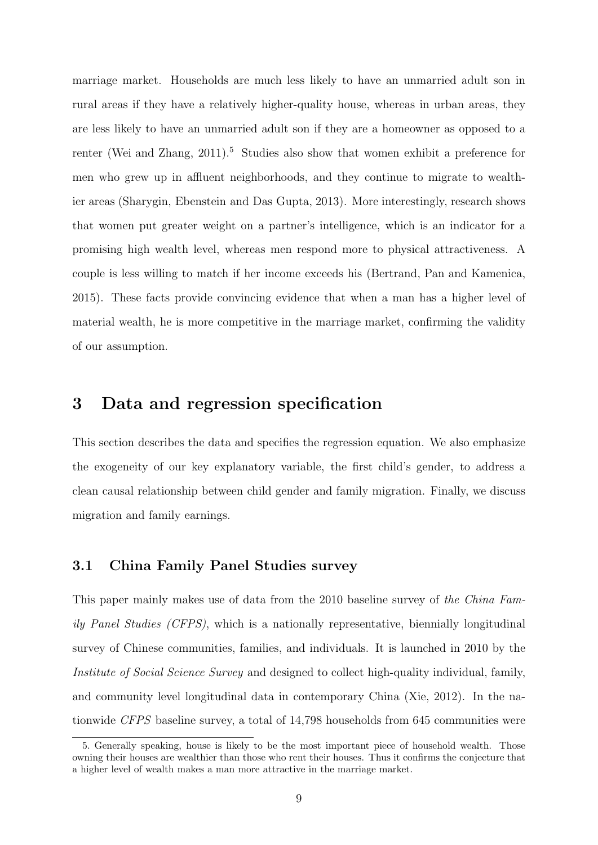marriage market. Households are much less likely to have an unmarried adult son in rural areas if they have a relatively higher-quality house, whereas in urban areas, they are less likely to have an unmarried adult son if they are a homeowner as opposed to a renter (Wei and Zhang,  $2011$ ).<sup>5</sup> Studies also show that women exhibit a preference for men who grew up in affluent neighborhoods, and they continue to migrate to wealthier areas (Sharygin, Ebenstein and Das Gupta, 2013). More interestingly, research shows that women put greater weight on a partner's intelligence, which is an indicator for a promising high wealth level, whereas men respond more to physical attractiveness. A couple is less willing to match if her income exceeds his (Bertrand, Pan and Kamenica, 2015). These facts provide convincing evidence that when a man has a higher level of material wealth, he is more competitive in the marriage market, confirming the validity of our assumption.

## **3 Data and regression specification**

This section describes the data and specifies the regression equation. We also emphasize the exogeneity of our key explanatory variable, the first child's gender, to address a clean causal relationship between child gender and family migration. Finally, we discuss migration and family earnings.

#### **3.1 China Family Panel Studies survey**

This paper mainly makes use of data from the 2010 baseline survey of *the China Family Panel Studies (CFPS)*, which is a nationally representative, biennially longitudinal survey of Chinese communities, families, and individuals. It is launched in 2010 by the *Institute of Social Science Survey* and designed to collect high-quality individual, family, and community level longitudinal data in contemporary China (Xie, 2012). In the nationwide *CFPS* baseline survey, a total of 14,798 households from 645 communities were

<sup>5.</sup> Generally speaking, house is likely to be the most important piece of household wealth. Those owning their houses are wealthier than those who rent their houses. Thus it confirms the conjecture that a higher level of wealth makes a man more attractive in the marriage market.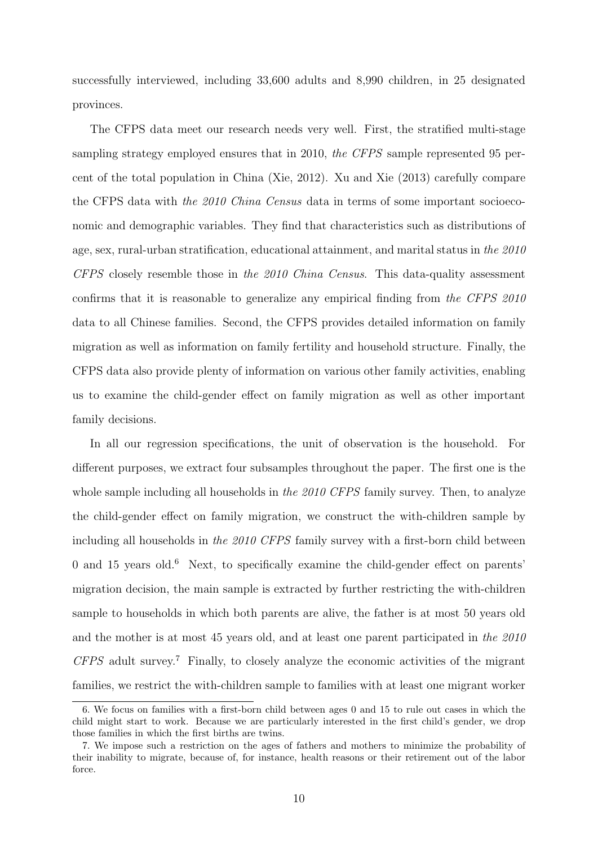successfully interviewed, including 33,600 adults and 8,990 children, in 25 designated provinces.

The CFPS data meet our research needs very well. First, the stratified multi-stage sampling strategy employed ensures that in 2010, *the CFPS* sample represented 95 percent of the total population in China (Xie, 2012). Xu and Xie (2013) carefully compare the CFPS data with *the 2010 China Census* data in terms of some important socioeconomic and demographic variables. They find that characteristics such as distributions of age, sex, rural-urban stratification, educational attainment, and marital status in *the 2010 CFPS* closely resemble those in *the 2010 China Census*. This data-quality assessment confirms that it is reasonable to generalize any empirical finding from *the CFPS 2010* data to all Chinese families. Second, the CFPS provides detailed information on family migration as well as information on family fertility and household structure. Finally, the CFPS data also provide plenty of information on various other family activities, enabling us to examine the child-gender effect on family migration as well as other important family decisions.

In all our regression specifications, the unit of observation is the household. For different purposes, we extract four subsamples throughout the paper. The first one is the whole sample including all households in *the 2010 CFPS* family survey. Then, to analyze the child-gender effect on family migration, we construct the with-children sample by including all households in *the 2010 CFPS* family survey with a first-born child between  $0$  and  $15$  years old.<sup>6</sup> Next, to specifically examine the child-gender effect on parents' migration decision, the main sample is extracted by further restricting the with-children sample to households in which both parents are alive, the father is at most 50 years old and the mother is at most 45 years old, and at least one parent participated in *the 2010 CFPS* adult survey.<sup>7</sup> Finally, to closely analyze the economic activities of the migrant families, we restrict the with-children sample to families with at least one migrant worker

<sup>6.</sup> We focus on families with a first-born child between ages 0 and 15 to rule out cases in which the child might start to work. Because we are particularly interested in the first child's gender, we drop those families in which the first births are twins.

<sup>7.</sup> We impose such a restriction on the ages of fathers and mothers to minimize the probability of their inability to migrate, because of, for instance, health reasons or their retirement out of the labor force.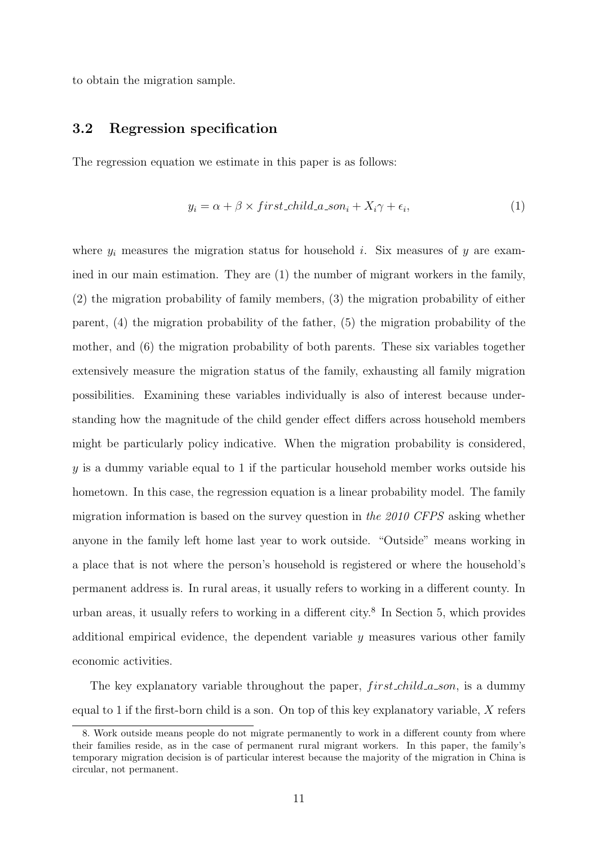to obtain the migration sample.

#### **3.2 Regression specification**

The regression equation we estimate in this paper is as follows:

$$
y_i = \alpha + \beta \times first\_child\_a\_son_i + X_i \gamma + \epsilon_i,
$$
\n(1)

where  $y_i$  measures the migration status for household *i*. Six measures of *y* are examined in our main estimation. They are (1) the number of migrant workers in the family, (2) the migration probability of family members, (3) the migration probability of either parent, (4) the migration probability of the father, (5) the migration probability of the mother, and (6) the migration probability of both parents. These six variables together extensively measure the migration status of the family, exhausting all family migration possibilities. Examining these variables individually is also of interest because understanding how the magnitude of the child gender effect differs across household members might be particularly policy indicative. When the migration probability is considered, *y* is a dummy variable equal to 1 if the particular household member works outside his hometown. In this case, the regression equation is a linear probability model. The family migration information is based on the survey question in *the 2010 CFPS* asking whether anyone in the family left home last year to work outside. "Outside" means working in a place that is not where the person's household is registered or where the household's permanent address is. In rural areas, it usually refers to working in a different county. In urban areas, it usually refers to working in a different city.<sup>8</sup> In Section 5, which provides additional empirical evidence, the dependent variable *y* measures various other family economic activities.

The key explanatory variable throughout the paper, *f irst child a son*, is a dummy equal to 1 if the first-born child is a son. On top of this key explanatory variable, *X* refers

<sup>8.</sup> Work outside means people do not migrate permanently to work in a different county from where their families reside, as in the case of permanent rural migrant workers. In this paper, the family's temporary migration decision is of particular interest because the majority of the migration in China is circular, not permanent.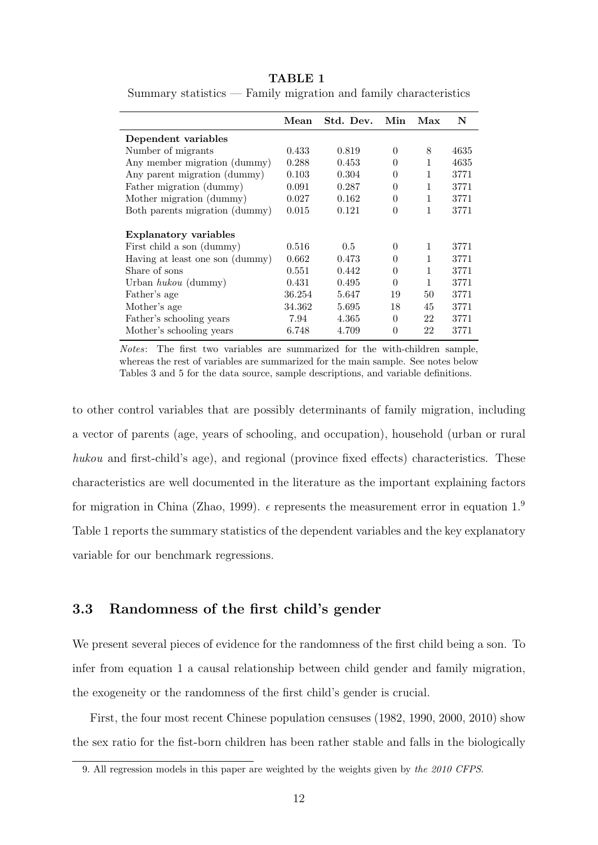|                                 | Mean   | Std. Dev. | Min      | Max | N    |
|---------------------------------|--------|-----------|----------|-----|------|
| Dependent variables             |        |           |          |     |      |
| Number of migrants              | 0.433  | 0.819     | $\Omega$ | 8   | 4635 |
| Any member migration (dummy)    | 0.288  | 0.453     | $\Omega$ | 1   | 4635 |
| Any parent migration (dummy)    | 0.103  | 0.304     | $\Omega$ | 1   | 3771 |
| Father migration (dummy)        | 0.091  | 0.287     | $\theta$ | 1   | 3771 |
| Mother migration (dummy)        | 0.027  | 0.162     | $\theta$ | 1   | 3771 |
| Both parents migration (dummy)  | 0.015  | 0.121     | $\theta$ | 1   | 3771 |
| <b>Explanatory variables</b>    |        |           |          |     |      |
| First child a son (dummy)       | 0.516  | 0.5       | $\Omega$ | 1   | 3771 |
| Having at least one son (dummy) | 0.662  | 0.473     | $\Omega$ | 1   | 3771 |
| Share of sons                   | 0.551  | 0.442     | $\Omega$ | 1   | 3771 |
| Urban $hukou$ (dummy)           | 0.431  | 0.495     | $\Omega$ | 1   | 3771 |
| Father's age                    | 36.254 | 5.647     | 19       | 50  | 3771 |
| Mother's age                    | 34.362 | 5.695     | 18       | 45  | 3771 |
| Father's schooling years        | 7.94   | 4.365     | $\Omega$ | 22  | 3771 |
| Mother's schooling years        | 6.748  | 4.709     | $\theta$ | 22  | 3771 |

**TABLE 1**

Summary statistics — Family migration and family characteristics

*Notes*: The first two variables are summarized for the with-children sample, whereas the rest of variables are summarized for the main sample. See notes below Tables 3 and 5 for the data source, sample descriptions, and variable definitions.

to other control variables that are possibly determinants of family migration, including a vector of parents (age, years of schooling, and occupation), household (urban or rural *hukou* and first-child's age), and regional (province fixed effects) characteristics. These characteristics are well documented in the literature as the important explaining factors for migration in China (Zhao, 1999).  $\epsilon$  represents the measurement error in equation 1.<sup>9</sup> Table 1 reports the summary statistics of the dependent variables and the key explanatory variable for our benchmark regressions.

#### **3.3 Randomness of the first child's gender**

We present several pieces of evidence for the randomness of the first child being a son. To infer from equation 1 a causal relationship between child gender and family migration, the exogeneity or the randomness of the first child's gender is crucial.

First, the four most recent Chinese population censuses (1982, 1990, 2000, 2010) show the sex ratio for the fist-born children has been rather stable and falls in the biologically

<sup>9.</sup> All regression models in this paper are weighted by the weights given by *the 2010 CFPS*.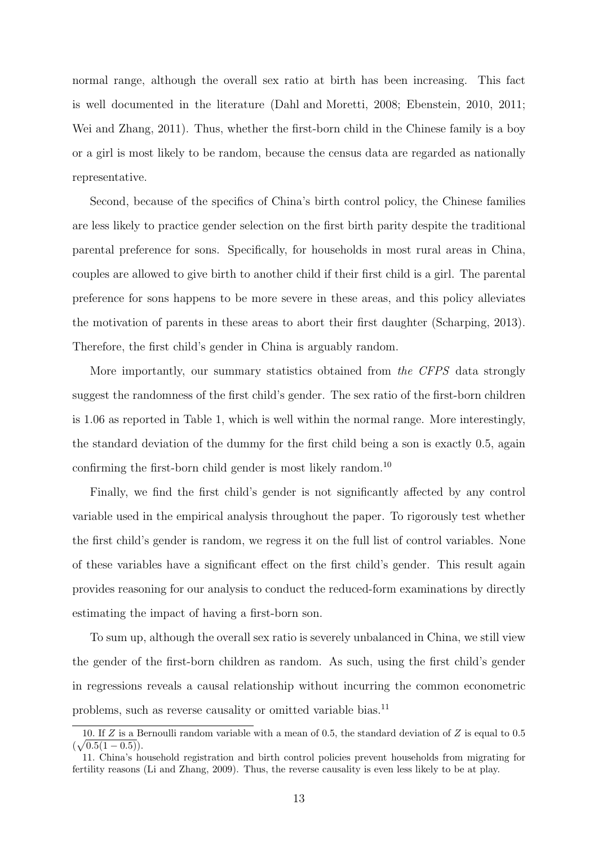normal range, although the overall sex ratio at birth has been increasing. This fact is well documented in the literature (Dahl and Moretti, 2008; Ebenstein, 2010, 2011; Wei and Zhang, 2011). Thus, whether the first-born child in the Chinese family is a boy or a girl is most likely to be random, because the census data are regarded as nationally representative.

Second, because of the specifics of China's birth control policy, the Chinese families are less likely to practice gender selection on the first birth parity despite the traditional parental preference for sons. Specifically, for households in most rural areas in China, couples are allowed to give birth to another child if their first child is a girl. The parental preference for sons happens to be more severe in these areas, and this policy alleviates the motivation of parents in these areas to abort their first daughter (Scharping, 2013). Therefore, the first child's gender in China is arguably random.

More importantly, our summary statistics obtained from *the CFPS* data strongly suggest the randomness of the first child's gender. The sex ratio of the first-born children is 1.06 as reported in Table 1, which is well within the normal range. More interestingly, the standard deviation of the dummy for the first child being a son is exactly 0.5, again confirming the first-born child gender is most likely random.<sup>10</sup>

Finally, we find the first child's gender is not significantly affected by any control variable used in the empirical analysis throughout the paper. To rigorously test whether the first child's gender is random, we regress it on the full list of control variables. None of these variables have a significant effect on the first child's gender. This result again provides reasoning for our analysis to conduct the reduced-form examinations by directly estimating the impact of having a first-born son.

To sum up, although the overall sex ratio is severely unbalanced in China, we still view the gender of the first-born children as random. As such, using the first child's gender in regressions reveals a causal relationship without incurring the common econometric problems, such as reverse causality or omitted variable bias.<sup>11</sup>

<sup>10.</sup> If *Z* is a Bernoulli random variable with a mean of 0.5, the standard deviation of *Z* is equal to 0.5  $(\sqrt{0.5(1-0.5)})$ .

<sup>11.</sup> China's household registration and birth control policies prevent households from migrating for fertility reasons (Li and Zhang, 2009). Thus, the reverse causality is even less likely to be at play.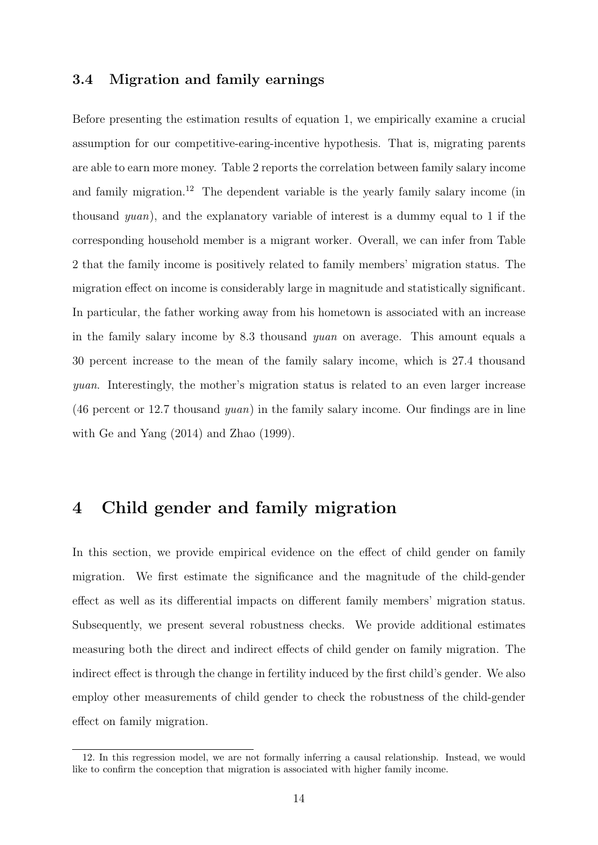#### **3.4 Migration and family earnings**

Before presenting the estimation results of equation 1, we empirically examine a crucial assumption for our competitive-earing-incentive hypothesis. That is, migrating parents are able to earn more money. Table 2 reports the correlation between family salary income and family migration.<sup>12</sup> The dependent variable is the yearly family salary income (in thousand *yuan*), and the explanatory variable of interest is a dummy equal to 1 if the corresponding household member is a migrant worker. Overall, we can infer from Table 2 that the family income is positively related to family members' migration status. The migration effect on income is considerably large in magnitude and statistically significant. In particular, the father working away from his hometown is associated with an increase in the family salary income by 8.3 thousand *yuan* on average. This amount equals a 30 percent increase to the mean of the family salary income, which is 27.4 thousand *yuan*. Interestingly, the mother's migration status is related to an even larger increase (46 percent or 12.7 thousand *yuan*) in the family salary income. Our findings are in line with Ge and Yang (2014) and Zhao (1999).

## **4 Child gender and family migration**

In this section, we provide empirical evidence on the effect of child gender on family migration. We first estimate the significance and the magnitude of the child-gender effect as well as its differential impacts on different family members' migration status. Subsequently, we present several robustness checks. We provide additional estimates measuring both the direct and indirect effects of child gender on family migration. The indirect effect is through the change in fertility induced by the first child's gender. We also employ other measurements of child gender to check the robustness of the child-gender effect on family migration.

<sup>12.</sup> In this regression model, we are not formally inferring a causal relationship. Instead, we would like to confirm the conception that migration is associated with higher family income.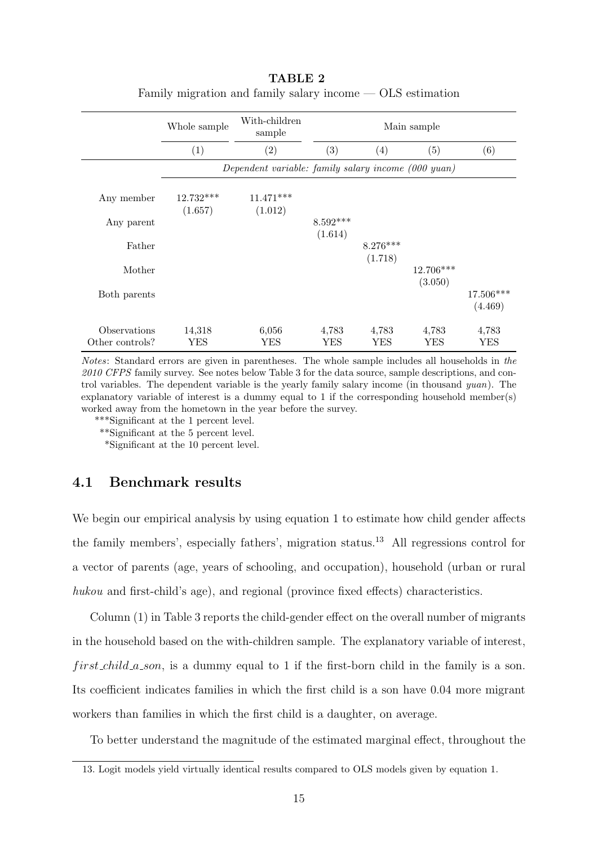|                                 | Whole sample           | With-children<br>sample                             |                       |                       | Main sample            |                        |
|---------------------------------|------------------------|-----------------------------------------------------|-----------------------|-----------------------|------------------------|------------------------|
|                                 | (1)                    | $\left( 2\right)$                                   | (3)                   | (4)                   | (5)                    | (6)                    |
|                                 |                        | Dependent variable: family salary income (000 yuan) |                       |                       |                        |                        |
| Any member                      | $12.732***$<br>(1.657) | $11.471***$<br>(1.012)                              |                       |                       |                        |                        |
| Any parent                      |                        |                                                     | $8.592***$<br>(1.614) |                       |                        |                        |
| Father                          |                        |                                                     |                       | $8.276***$<br>(1.718) |                        |                        |
| Mother                          |                        |                                                     |                       |                       | $12.706***$<br>(3.050) |                        |
| Both parents                    |                        |                                                     |                       |                       |                        | $17.506***$<br>(4.469) |
| Observations<br>Other controls? | 14,318<br>YES          | 6,056<br>YES                                        | 4,783<br>YES          | 4,783<br>YES          | 4,783<br>YES           | 4,783<br>YES           |

| TABLE 2                                                      |  |
|--------------------------------------------------------------|--|
| Family migration and family salary income $-$ OLS estimation |  |

*Notes*: Standard errors are given in parentheses. The whole sample includes all households in *the 2010 CFPS* family survey. See notes below Table 3 for the data source, sample descriptions, and control variables. The dependent variable is the yearly family salary income (in thousand *yuan*). The explanatory variable of interest is a dummy equal to 1 if the corresponding household member(s) worked away from the hometown in the year before the survey.

\*\*\*Significant at the 1 percent level.

\*\*Significant at the 5 percent level.

\*Significant at the 10 percent level.

#### **4.1 Benchmark results**

We begin our empirical analysis by using equation 1 to estimate how child gender affects the family members', especially fathers', migration status.<sup>13</sup> All regressions control for a vector of parents (age, years of schooling, and occupation), household (urban or rural *hukou* and first-child's age), and regional (province fixed effects) characteristics.

Column (1) in Table 3 reports the child-gender effect on the overall number of migrants in the household based on the with-children sample. The explanatory variable of interest, *f irst child a son*, is a dummy equal to 1 if the first-born child in the family is a son. Its coefficient indicates families in which the first child is a son have 0.04 more migrant workers than families in which the first child is a daughter, on average.

To better understand the magnitude of the estimated marginal effect, throughout the

<sup>13.</sup> Logit models yield virtually identical results compared to OLS models given by equation 1.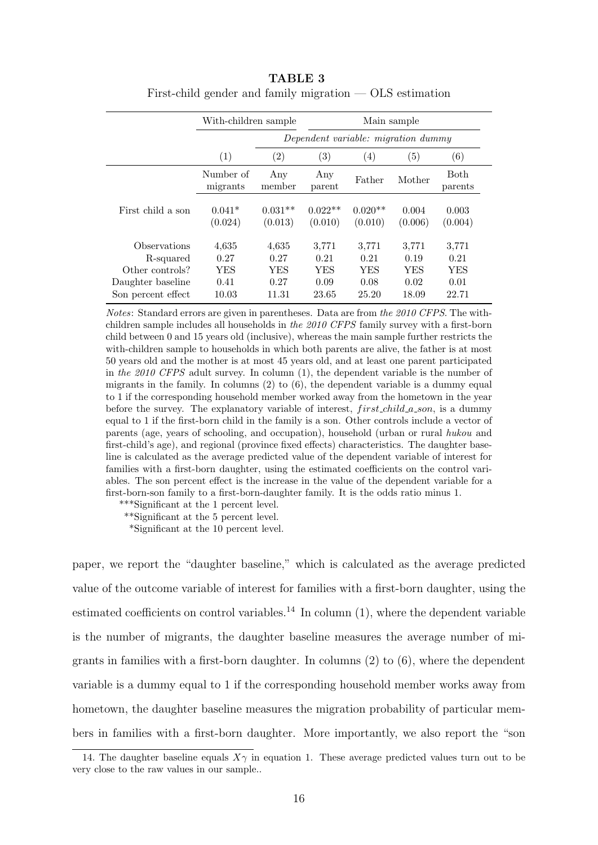|                    | With-children sample  |                      |                      | Main sample                         |                  |                  |  |
|--------------------|-----------------------|----------------------|----------------------|-------------------------------------|------------------|------------------|--|
|                    |                       |                      |                      | Dependent variable: migration dummy |                  |                  |  |
|                    | (1)                   | $\left( 2\right)$    | $\left( 3\right)$    | $\left( 4\right)$                   | (5)              | (6)              |  |
|                    | Number of<br>migrants | Any<br>member        | Any<br>parent        | Father                              | Mother           | Both<br>parents  |  |
| First child a son  | $0.041*$<br>(0.024)   | $0.031**$<br>(0.013) | $0.022**$<br>(0.010) | $0.020**$<br>(0.010)                | 0.004<br>(0.006) | 0.003<br>(0.004) |  |
| Observations       | 4,635                 | 4,635                | 3,771                | 3,771                               | 3,771            | 3,771            |  |
| R-squared          | 0.27                  | 0.27                 | 0.21                 | 0.21                                | 0.19             | 0.21             |  |
| Other controls?    | YES                   | YES                  | YES                  | YES                                 | <b>YES</b>       | YES              |  |
| Daughter baseline  | 0.41                  | 0.27                 | 0.09                 | 0.08                                | 0.02             | 0.01             |  |
| Son percent effect | 10.03                 | 11.31                | 23.65                | 25.20                               | 18.09            | 22.71            |  |

**TABLE 3** First-child gender and family migration — OLS estimation

*Notes*: Standard errors are given in parentheses. Data are from *the 2010 CFPS*. The withchildren sample includes all households in *the 2010 CFPS* family survey with a first-born child between 0 and 15 years old (inclusive), whereas the main sample further restricts the with-children sample to households in which both parents are alive, the father is at most 50 years old and the mother is at most 45 years old, and at least one parent participated in *the 2010 CFPS* adult survey. In column (1), the dependent variable is the number of migrants in the family. In columns  $(2)$  to  $(6)$ , the dependent variable is a dummy equal to 1 if the corresponding household member worked away from the hometown in the year before the survey. The explanatory variable of interest, *f irst child a son*, is a dummy equal to 1 if the first-born child in the family is a son. Other controls include a vector of parents (age, years of schooling, and occupation), household (urban or rural *hukou* and first-child's age), and regional (province fixed effects) characteristics. The daughter baseline is calculated as the average predicted value of the dependent variable of interest for families with a first-born daughter, using the estimated coefficients on the control variables. The son percent effect is the increase in the value of the dependent variable for a first-born-son family to a first-born-daughter family. It is the odds ratio minus 1.

\*\*\*Significant at the 1 percent level.

\*\*Significant at the 5 percent level.

\*Significant at the 10 percent level.

paper, we report the "daughter baseline," which is calculated as the average predicted value of the outcome variable of interest for families with a first-born daughter, using the estimated coefficients on control variables.<sup>14</sup> In column  $(1)$ , where the dependent variable is the number of migrants, the daughter baseline measures the average number of migrants in families with a first-born daughter. In columns (2) to (6), where the dependent variable is a dummy equal to 1 if the corresponding household member works away from hometown, the daughter baseline measures the migration probability of particular members in families with a first-born daughter. More importantly, we also report the "son

<sup>14.</sup> The daughter baseline equals  $X\gamma$  in equation 1. These average predicted values turn out to be very close to the raw values in our sample..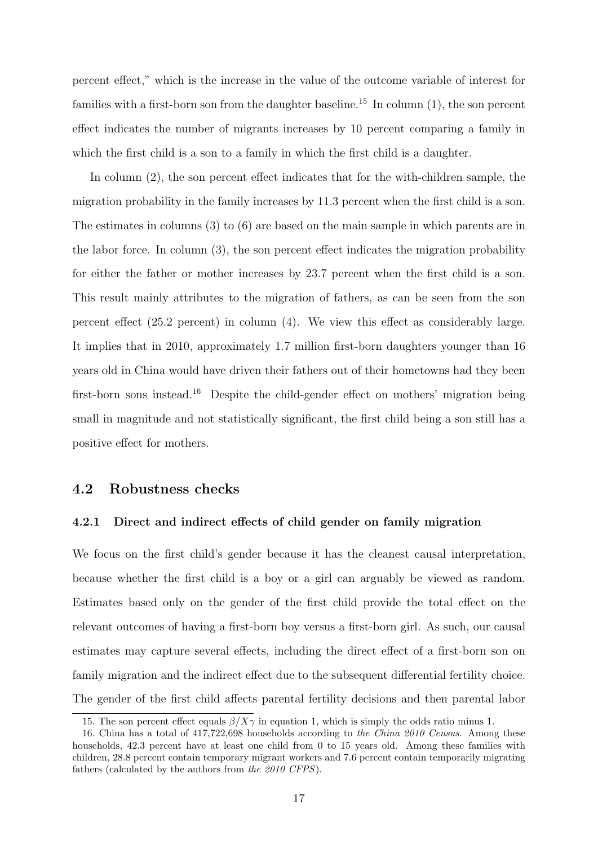percent effect," which is the increase in the value of the outcome variable of interest for families with a first-born son from the daughter baseline.<sup>15</sup> In column  $(1)$ , the son percent effect indicates the number of migrants increases by 10 percent comparing a family in which the first child is a son to a family in which the first child is a daughter.

In column (2), the son percent effect indicates that for the with-children sample, the migration probability in the family increases by 11.3 percent when the first child is a son. The estimates in columns (3) to (6) are based on the main sample in which parents are in the labor force. In column (3), the son percent effect indicates the migration probability for either the father or mother increases by 23.7 percent when the first child is a son. This result mainly attributes to the migration of fathers, as can be seen from the son percent effect (25.2 percent) in column (4). We view this effect as considerably large. It implies that in 2010, approximately 1.7 million first-born daughters younger than 16 years old in China would have driven their fathers out of their hometowns had they been first-born sons instead.<sup>16</sup> Despite the child-gender effect on mothers' migration being small in magnitude and not statistically significant, the first child being a son still has a positive effect for mothers.

#### **4.2 Robustness checks**

#### **4.2.1 Direct and indirect effects of child gender on family migration**

We focus on the first child's gender because it has the cleanest causal interpretation, because whether the first child is a boy or a girl can arguably be viewed as random. Estimates based only on the gender of the first child provide the total effect on the relevant outcomes of having a first-born boy versus a first-born girl. As such, our causal estimates may capture several effects, including the direct effect of a first-born son on family migration and the indirect effect due to the subsequent differential fertility choice. The gender of the first child affects parental fertility decisions and then parental labor

<sup>15.</sup> The son percent effect equals  $\beta/X\gamma$  in equation 1, which is simply the odds ratio minus 1.

<sup>16.</sup> China has a total of 417,722,698 households according to *the China 2010 Census*. Among these households, 42.3 percent have at least one child from 0 to 15 years old. Among these families with children, 28.8 percent contain temporary migrant workers and 7.6 percent contain temporarily migrating fathers (calculated by the authors from *the 2010 CFPS*).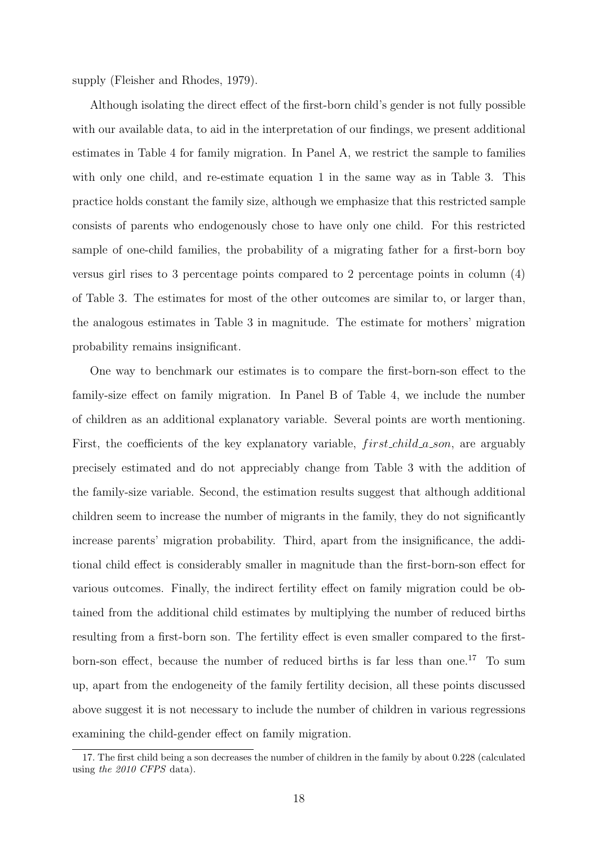supply (Fleisher and Rhodes, 1979).

Although isolating the direct effect of the first-born child's gender is not fully possible with our available data, to aid in the interpretation of our findings, we present additional estimates in Table 4 for family migration. In Panel A, we restrict the sample to families with only one child, and re-estimate equation 1 in the same way as in Table 3. This practice holds constant the family size, although we emphasize that this restricted sample consists of parents who endogenously chose to have only one child. For this restricted sample of one-child families, the probability of a migrating father for a first-born boy versus girl rises to 3 percentage points compared to 2 percentage points in column (4) of Table 3. The estimates for most of the other outcomes are similar to, or larger than, the analogous estimates in Table 3 in magnitude. The estimate for mothers' migration probability remains insignificant.

One way to benchmark our estimates is to compare the first-born-son effect to the family-size effect on family migration. In Panel B of Table 4, we include the number of children as an additional explanatory variable. Several points are worth mentioning. First, the coefficients of the key explanatory variable,  $first\text{-}child\text{-}a\text{-}son$ , are arguably precisely estimated and do not appreciably change from Table 3 with the addition of the family-size variable. Second, the estimation results suggest that although additional children seem to increase the number of migrants in the family, they do not significantly increase parents' migration probability. Third, apart from the insignificance, the additional child effect is considerably smaller in magnitude than the first-born-son effect for various outcomes. Finally, the indirect fertility effect on family migration could be obtained from the additional child estimates by multiplying the number of reduced births resulting from a first-born son. The fertility effect is even smaller compared to the firstborn-son effect, because the number of reduced births is far less than one.<sup>17</sup> To sum up, apart from the endogeneity of the family fertility decision, all these points discussed above suggest it is not necessary to include the number of children in various regressions examining the child-gender effect on family migration.

<sup>17.</sup> The first child being a son decreases the number of children in the family by about 0.228 (calculated using *the 2010 CFPS* data).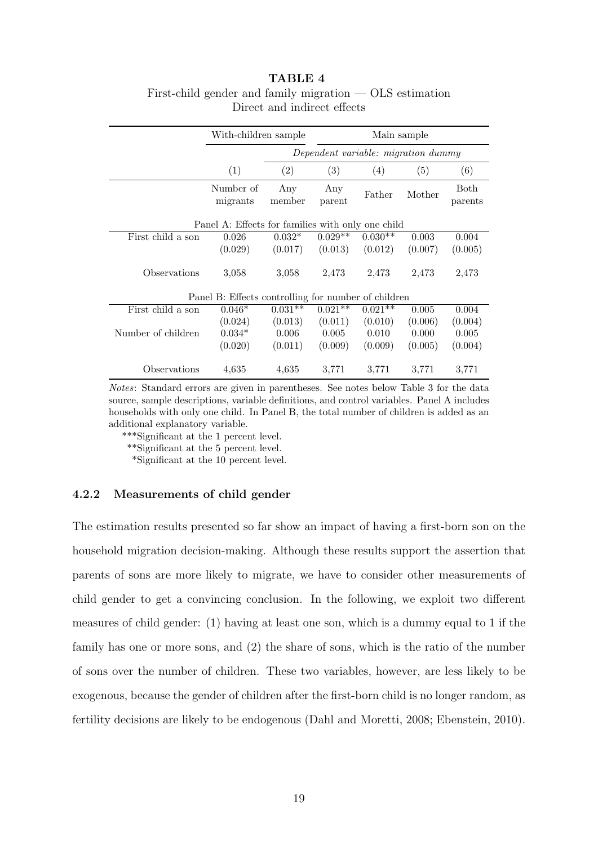#### **TABLE 4** First-child gender and family migration — OLS estimation Direct and indirect effects

|                    | With-children sample                                |               |                                     | Main sample |                   |                 |  |  |
|--------------------|-----------------------------------------------------|---------------|-------------------------------------|-------------|-------------------|-----------------|--|--|
|                    |                                                     |               | Dependent variable: migration dummy |             |                   |                 |  |  |
|                    | (1)                                                 | (2)           | (3)                                 | (4)         | $\left( 5\right)$ | (6)             |  |  |
|                    | Number of<br>migrants                               | Any<br>member | Any<br>parent                       | Father      | Mother            | Both<br>parents |  |  |
|                    | Panel A: Effects for families with only one child   |               |                                     |             |                   |                 |  |  |
| First child a son  | 0.026                                               | $0.032*$      | $0.029**$                           | $0.030**$   | 0.003             | 0.004           |  |  |
|                    | (0.029)                                             | (0.017)       | (0.013)                             | (0.012)     | (0.007)           | (0.005)         |  |  |
| Observations       | 3,058                                               | 3,058         | 2,473                               | 2,473       | 2,473             | 2,473           |  |  |
|                    | Panel B: Effects controlling for number of children |               |                                     |             |                   |                 |  |  |
| First child a son  | $0.046*$                                            | $0.031**$     | $0.021**$                           | $0.021**$   | 0.005             | 0.004           |  |  |
|                    | (0.024)                                             | (0.013)       | (0.011)                             | (0.010)     | (0.006)           | (0.004)         |  |  |
| Number of children | $0.034*$                                            | 0.006         | 0.005                               | 0.010       | 0.000             | 0.005           |  |  |
|                    | (0.020)                                             | (0.011)       | (0.009)                             | (0.009)     | (0.005)           | (0.004)         |  |  |
| Observations       | 4,635                                               | 4,635         | 3,771                               | 3,771       | 3,771             | 3,771           |  |  |

*Notes*: Standard errors are given in parentheses. See notes below Table 3 for the data source, sample descriptions, variable definitions, and control variables. Panel A includes households with only one child. In Panel B, the total number of children is added as an additional explanatory variable.

\*\*\*Significant at the 1 percent level.

\*\*Significant at the 5 percent level.

\*Significant at the 10 percent level.

#### **4.2.2 Measurements of child gender**

The estimation results presented so far show an impact of having a first-born son on the household migration decision-making. Although these results support the assertion that parents of sons are more likely to migrate, we have to consider other measurements of child gender to get a convincing conclusion. In the following, we exploit two different measures of child gender: (1) having at least one son, which is a dummy equal to 1 if the family has one or more sons, and (2) the share of sons, which is the ratio of the number of sons over the number of children. These two variables, however, are less likely to be exogenous, because the gender of children after the first-born child is no longer random, as fertility decisions are likely to be endogenous (Dahl and Moretti, 2008; Ebenstein, 2010).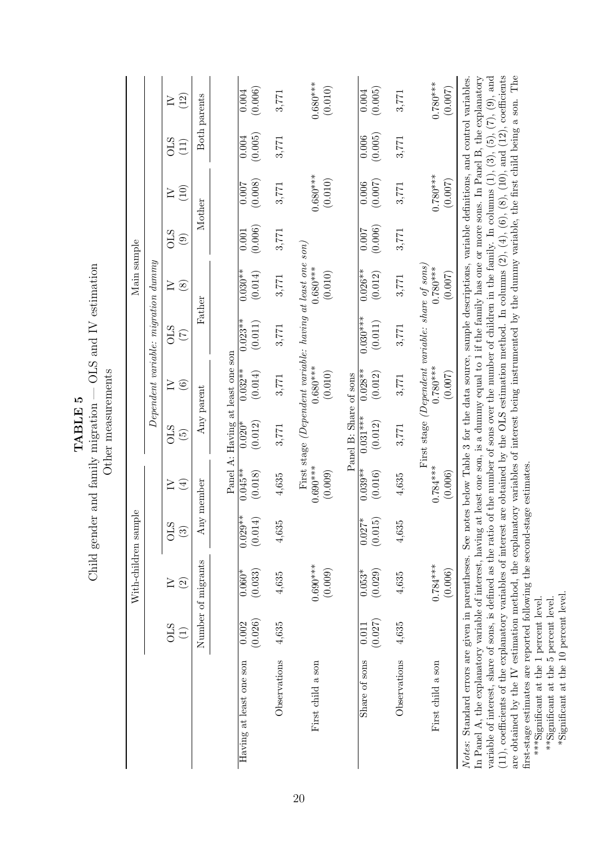|                                                                                                                                                                                                                                                                                                                                                                                                                                                                                                                                                                                                                                            |                               | With-children sample         |                      |                       |                                                           |                                    |                                               | Main sample           |                       |                       |                  |                       |
|--------------------------------------------------------------------------------------------------------------------------------------------------------------------------------------------------------------------------------------------------------------------------------------------------------------------------------------------------------------------------------------------------------------------------------------------------------------------------------------------------------------------------------------------------------------------------------------------------------------------------------------------|-------------------------------|------------------------------|----------------------|-----------------------|-----------------------------------------------------------|------------------------------------|-----------------------------------------------|-----------------------|-----------------------|-----------------------|------------------|-----------------------|
|                                                                                                                                                                                                                                                                                                                                                                                                                                                                                                                                                                                                                                            |                               |                              |                      |                       |                                                           |                                    | $Dependent\ variable\colon\ migration\ dummy$ |                       |                       |                       |                  |                       |
|                                                                                                                                                                                                                                                                                                                                                                                                                                                                                                                                                                                                                                            | <b>OLS</b><br>$\widehat{\Xi}$ | $\widetilde{2}$              | STO<br>$\odot$       | $\bigoplus$<br>$\geq$ | <b>OLS</b><br>$\widetilde{5}$                             | $\odot$<br>$\geq$                  | <b>OLS</b><br>$\widetilde{\Xi}$               | $\geq$<br>$\circledS$ | <b>OLS</b><br>$\odot$ | (10)<br>$\geq$        | STO<br>(11)      | $(12)$<br>$\geq$      |
|                                                                                                                                                                                                                                                                                                                                                                                                                                                                                                                                                                                                                                            |                               | Number of migrants           |                      | Any member            |                                                           | Any parent                         |                                               | Father                |                       | Mother                |                  | Both parents          |
|                                                                                                                                                                                                                                                                                                                                                                                                                                                                                                                                                                                                                                            |                               |                              |                      |                       | Panel A: Having at least one son                          |                                    |                                               |                       |                       |                       |                  |                       |
| Having at least one son                                                                                                                                                                                                                                                                                                                                                                                                                                                                                                                                                                                                                    | (0.026)<br>0.002              | $0.060*$<br>(0.033)          | $0.029**$<br>(0.014) | $0.045**$<br>(0.018)  | (0.012)<br>$0.020*$                                       | $\overline{0.032}^{**}$<br>(0.014) | $0.023**$<br>(0.011)                          | $0.030**$<br>(0.014)  | (0.006)<br>0.001      | (0.007)               | (0.005)<br>0.004 | (0.006)<br>0.004      |
| Observations                                                                                                                                                                                                                                                                                                                                                                                                                                                                                                                                                                                                                               | 4,635                         | 4,635                        | 4,635                | 4,635                 | 3,771                                                     | 3,771                              | 3,771                                         | 3,771                 | 3,771                 | 3,771                 | 3,771            | 3,771                 |
| First child a son                                                                                                                                                                                                                                                                                                                                                                                                                                                                                                                                                                                                                          |                               | $0.690***$<br>(0.009)        |                      | $0.690***$<br>(0.009) | First stage (Dependent variable: having at least one son) | $0.680***$<br>(0.010)              |                                               | $0.680***$<br>(0.010) |                       | $0.680***$<br>(0.010) |                  | $0.680***$<br>(0.010) |
|                                                                                                                                                                                                                                                                                                                                                                                                                                                                                                                                                                                                                                            |                               |                              |                      |                       | Panel B: Share of sons                                    |                                    |                                               |                       |                       |                       |                  |                       |
| Share of sons                                                                                                                                                                                                                                                                                                                                                                                                                                                                                                                                                                                                                              | (0.027)<br>0.011              | (0.029)<br>$\frac{1}{0.053}$ | $0.027*$<br>(0.015)  | $0.039**$<br>(0.016)  | $0.031***$<br>(0.012)                                     | $0.028**$<br>(0.012)               | $0.030***$<br>(0.011)                         | $0.026**$<br>(0.012)  | (0.006)<br>0.007      | (0.007)<br>0.006      | (0.005)<br>0.006 | (0.005)<br>0.004      |
| Observations                                                                                                                                                                                                                                                                                                                                                                                                                                                                                                                                                                                                                               | 4,635                         | 4,635                        | 4,635                | 4,635                 | 3,771                                                     | 3,771                              | 3,771                                         | 3,771                 | 3,771                 | 3,771                 | 3,771            | 3,771                 |
| First child a son                                                                                                                                                                                                                                                                                                                                                                                                                                                                                                                                                                                                                          |                               | $0.784***$<br>(0.006)        |                      | $0.784***$<br>(0.006) | First stage (Dependent variable: share of sons,           | $0.780***$<br>(0.007)              |                                               | $0.780***$<br>(0.007) |                       | $0.780***$<br>(0.007) |                  | $0.780***$<br>(0.007) |
| variable of interest, share of sons, is defined as the ratio of the number of sons over the number of children in the family. In columns $(1)$ , $(3)$ , $(5)$ , $(7)$ , $(9)$ , and $(11)$ , coefficients of the explanatory varia<br>In Panel A, the explanatory variable of interest, having at least one son, is a dummy equal to 1 if the family has one or more sons. In Panel B, the explanatory<br>Notes: Standard errors are given in parentheses. See notes below Table 3 for the data source, sample descriptions, variable definitions, and control variables.<br>variable of interest, share of sons, is defined as the ratio |                               |                              |                      |                       |                                                           |                                    |                                               |                       |                       |                       |                  |                       |

TABLE 5 Child gender and family migration — OLS and IV estimation Child gender and family migration  $-$  OLS and IV estimation  $\ddot{\phantom{a}}$  $\tilde{\mathcal{L}}$ 

20

are obtained by the IV estimation method, the explanatory variables of interest being instrumented by the dumny variable, the first child being a son. The first-stage estimates are reported following the second-stage estim first-stage estimates are reported following the second-stage estimates. \*\*\*Significant at the 1 percent level.

are obtained by the IV estimation method, the explanatory variables of interest being instrumented by the dummy variable, the first child being a son. The

\*\*Significant at the 5 percent level. \*Significant at the 10 percent level.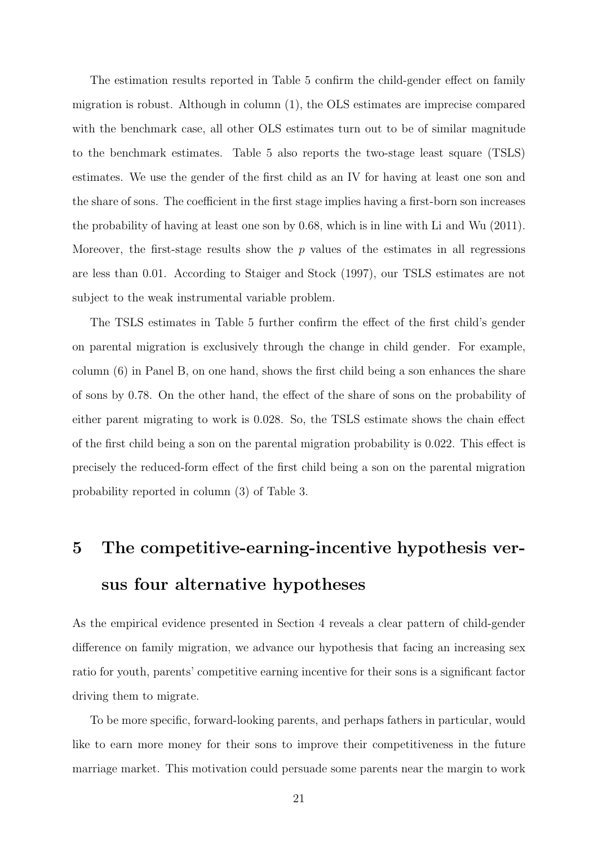The estimation results reported in Table 5 confirm the child-gender effect on family migration is robust. Although in column (1), the OLS estimates are imprecise compared with the benchmark case, all other OLS estimates turn out to be of similar magnitude to the benchmark estimates. Table 5 also reports the two-stage least square (TSLS) estimates. We use the gender of the first child as an IV for having at least one son and the share of sons. The coefficient in the first stage implies having a first-born son increases the probability of having at least one son by 0.68, which is in line with Li and Wu (2011). Moreover, the first-stage results show the *p* values of the estimates in all regressions are less than 0.01. According to Staiger and Stock (1997), our TSLS estimates are not subject to the weak instrumental variable problem.

The TSLS estimates in Table 5 further confirm the effect of the first child's gender on parental migration is exclusively through the change in child gender. For example, column (6) in Panel B, on one hand, shows the first child being a son enhances the share of sons by 0.78. On the other hand, the effect of the share of sons on the probability of either parent migrating to work is 0.028. So, the TSLS estimate shows the chain effect of the first child being a son on the parental migration probability is 0.022. This effect is precisely the reduced-form effect of the first child being a son on the parental migration probability reported in column (3) of Table 3.

# **5 The competitive-earning-incentive hypothesis versus four alternative hypotheses**

As the empirical evidence presented in Section 4 reveals a clear pattern of child-gender difference on family migration, we advance our hypothesis that facing an increasing sex ratio for youth, parents' competitive earning incentive for their sons is a significant factor driving them to migrate.

To be more specific, forward-looking parents, and perhaps fathers in particular, would like to earn more money for their sons to improve their competitiveness in the future marriage market. This motivation could persuade some parents near the margin to work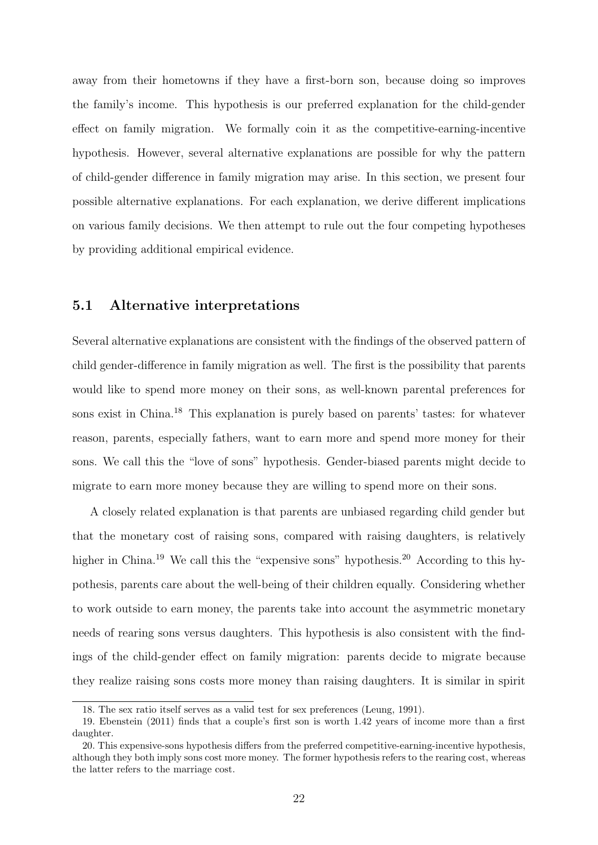away from their hometowns if they have a first-born son, because doing so improves the family's income. This hypothesis is our preferred explanation for the child-gender effect on family migration. We formally coin it as the competitive-earning-incentive hypothesis. However, several alternative explanations are possible for why the pattern of child-gender difference in family migration may arise. In this section, we present four possible alternative explanations. For each explanation, we derive different implications on various family decisions. We then attempt to rule out the four competing hypotheses by providing additional empirical evidence.

#### **5.1 Alternative interpretations**

Several alternative explanations are consistent with the findings of the observed pattern of child gender-difference in family migration as well. The first is the possibility that parents would like to spend more money on their sons, as well-known parental preferences for sons exist in China.<sup>18</sup> This explanation is purely based on parents' tastes: for whatever reason, parents, especially fathers, want to earn more and spend more money for their sons. We call this the "love of sons" hypothesis. Gender-biased parents might decide to migrate to earn more money because they are willing to spend more on their sons.

A closely related explanation is that parents are unbiased regarding child gender but that the monetary cost of raising sons, compared with raising daughters, is relatively higher in China.<sup>19</sup> We call this the "expensive sons" hypothesis.<sup>20</sup> According to this hypothesis, parents care about the well-being of their children equally. Considering whether to work outside to earn money, the parents take into account the asymmetric monetary needs of rearing sons versus daughters. This hypothesis is also consistent with the findings of the child-gender effect on family migration: parents decide to migrate because they realize raising sons costs more money than raising daughters. It is similar in spirit

<sup>18.</sup> The sex ratio itself serves as a valid test for sex preferences (Leung, 1991).

<sup>19.</sup> Ebenstein (2011) finds that a couple's first son is worth 1.42 years of income more than a first daughter.

<sup>20.</sup> This expensive-sons hypothesis differs from the preferred competitive-earning-incentive hypothesis, although they both imply sons cost more money. The former hypothesis refers to the rearing cost, whereas the latter refers to the marriage cost.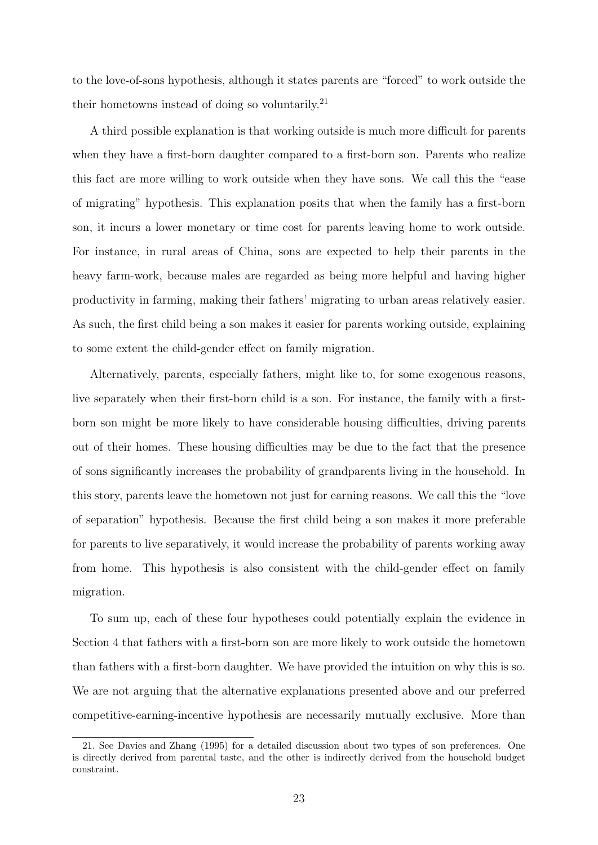to the love-of-sons hypothesis, although it states parents are "forced" to work outside the their hometowns instead of doing so voluntarily. $^{21}$ 

A third possible explanation is that working outside is much more difficult for parents when they have a first-born daughter compared to a first-born son. Parents who realize this fact are more willing to work outside when they have sons. We call this the "ease of migrating" hypothesis. This explanation posits that when the family has a first-born son, it incurs a lower monetary or time cost for parents leaving home to work outside. For instance, in rural areas of China, sons are expected to help their parents in the heavy farm-work, because males are regarded as being more helpful and having higher productivity in farming, making their fathers' migrating to urban areas relatively easier. As such, the first child being a son makes it easier for parents working outside, explaining to some extent the child-gender effect on family migration.

Alternatively, parents, especially fathers, might like to, for some exogenous reasons, live separately when their first-born child is a son. For instance, the family with a firstborn son might be more likely to have considerable housing difficulties, driving parents out of their homes. These housing difficulties may be due to the fact that the presence of sons significantly increases the probability of grandparents living in the household. In this story, parents leave the hometown not just for earning reasons. We call this the "love of separation" hypothesis. Because the first child being a son makes it more preferable for parents to live separatively, it would increase the probability of parents working away from home. This hypothesis is also consistent with the child-gender effect on family migration.

To sum up, each of these four hypotheses could potentially explain the evidence in Section 4 that fathers with a first-born son are more likely to work outside the hometown than fathers with a first-born daughter. We have provided the intuition on why this is so. We are not arguing that the alternative explanations presented above and our preferred competitive-earning-incentive hypothesis are necessarily mutually exclusive. More than

<sup>21.</sup> See Davies and Zhang (1995) for a detailed discussion about two types of son preferences. One is directly derived from parental taste, and the other is indirectly derived from the household budget constraint.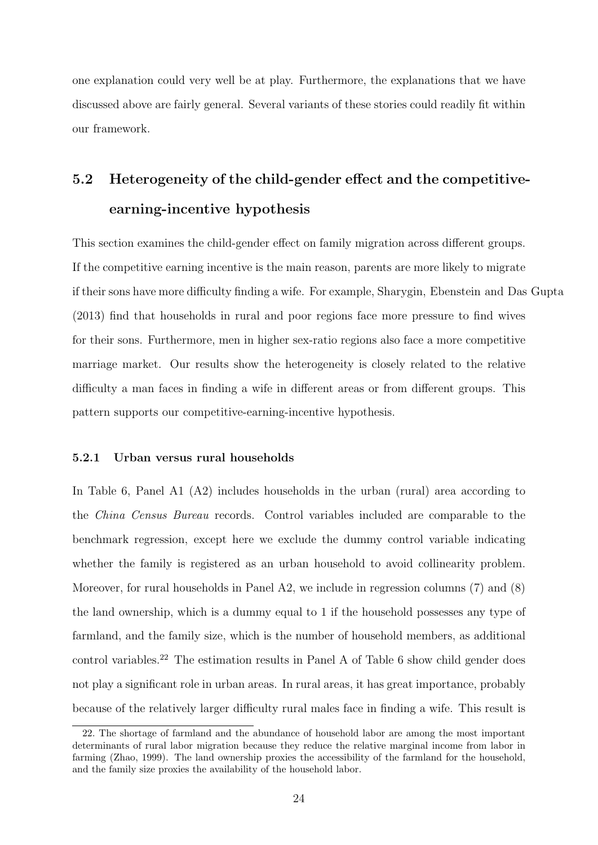one explanation could very well be at play. Furthermore, the explanations that we have discussed above are fairly general. Several variants of these stories could readily fit within our framework.

## **5.2 Heterogeneity of the child-gender effect and the competitiveearning-incentive hypothesis**

This section examines the child-gender effect on family migration across different groups. If the competitive earning incentive is the main reason, parents are more likely to migrate if their sons have more difficulty finding a wife. For example, Sharygin, Ebenstein and Das Gupta (2013) find that households in rural and poor regions face more pressure to find wives for their sons. Furthermore, men in higher sex-ratio regions also face a more competitive marriage market. Our results show the heterogeneity is closely related to the relative difficulty a man faces in finding a wife in different areas or from different groups. This pattern supports our competitive-earning-incentive hypothesis.

#### **5.2.1 Urban versus rural households**

In Table 6, Panel A1 (A2) includes households in the urban (rural) area according to the *China Census Bureau* records. Control variables included are comparable to the benchmark regression, except here we exclude the dummy control variable indicating whether the family is registered as an urban household to avoid collinearity problem. Moreover, for rural households in Panel A2, we include in regression columns (7) and (8) the land ownership, which is a dummy equal to 1 if the household possesses any type of farmland, and the family size, which is the number of household members, as additional control variables.<sup>22</sup> The estimation results in Panel A of Table 6 show child gender does not play a significant role in urban areas. In rural areas, it has great importance, probably because of the relatively larger difficulty rural males face in finding a wife. This result is

<sup>22.</sup> The shortage of farmland and the abundance of household labor are among the most important determinants of rural labor migration because they reduce the relative marginal income from labor in farming (Zhao, 1999). The land ownership proxies the accessibility of the farmland for the household, and the family size proxies the availability of the household labor.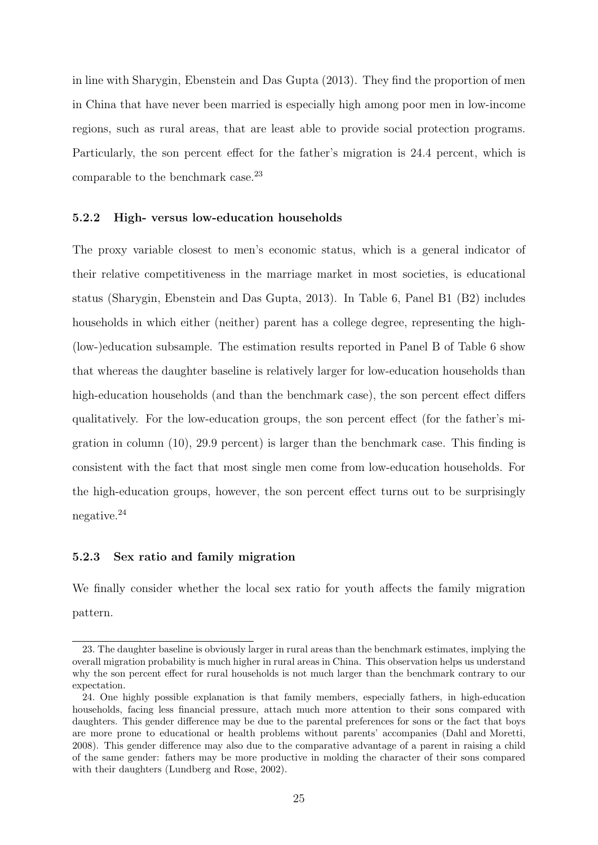in line with Sharygin, Ebenstein and Das Gupta (2013). They find the proportion of men in China that have never been married is especially high among poor men in low-income regions, such as rural areas, that are least able to provide social protection programs. Particularly, the son percent effect for the father's migration is 24.4 percent, which is comparable to the benchmark case.<sup>23</sup>

#### **5.2.2 High- versus low-education households**

The proxy variable closest to men's economic status, which is a general indicator of their relative competitiveness in the marriage market in most societies, is educational status (Sharygin, Ebenstein and Das Gupta, 2013). In Table 6, Panel B1 (B2) includes households in which either (neither) parent has a college degree, representing the high-(low-)education subsample. The estimation results reported in Panel B of Table 6 show that whereas the daughter baseline is relatively larger for low-education households than high-education households (and than the benchmark case), the son percent effect differs qualitatively. For the low-education groups, the son percent effect (for the father's migration in column (10), 29.9 percent) is larger than the benchmark case. This finding is consistent with the fact that most single men come from low-education households. For the high-education groups, however, the son percent effect turns out to be surprisingly negative.<sup>24</sup>

#### **5.2.3 Sex ratio and family migration**

We finally consider whether the local sex ratio for youth affects the family migration pattern.

<sup>23.</sup> The daughter baseline is obviously larger in rural areas than the benchmark estimates, implying the overall migration probability is much higher in rural areas in China. This observation helps us understand why the son percent effect for rural households is not much larger than the benchmark contrary to our expectation.

<sup>24.</sup> One highly possible explanation is that family members, especially fathers, in high-education households, facing less financial pressure, attach much more attention to their sons compared with daughters. This gender difference may be due to the parental preferences for sons or the fact that boys are more prone to educational or health problems without parents' accompanies (Dahl and Moretti, 2008). This gender difference may also due to the comparative advantage of a parent in raising a child of the same gender: fathers may be more productive in molding the character of their sons compared with their daughters (Lundberg and Rose, 2002).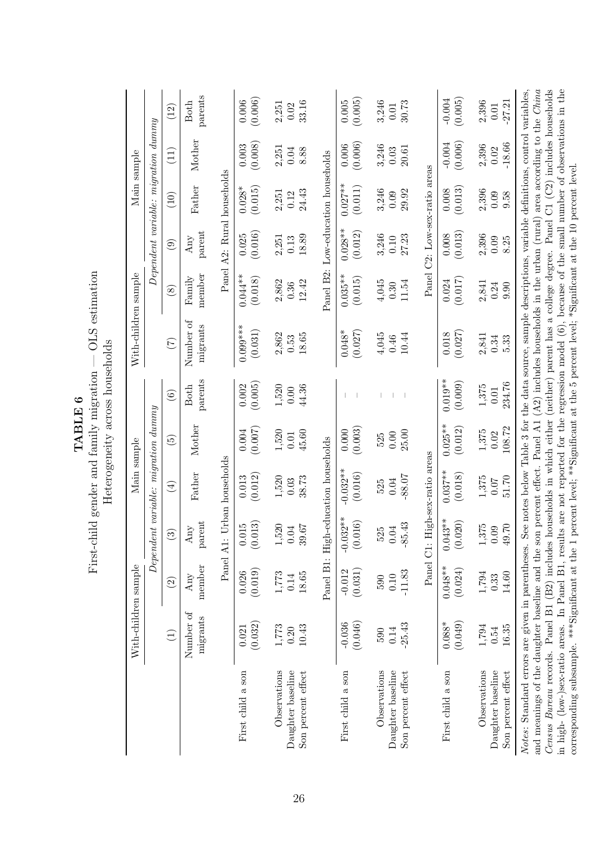|                                                                                                                                                                                                                                                                                                                                                                                                                                                                                                                                    | With-children sample       |                         |                                           | Main sample                |                            |                             | With-children sample                                                                                                                 |                                                    |                                              |                          | Main sample                                   |                               |
|------------------------------------------------------------------------------------------------------------------------------------------------------------------------------------------------------------------------------------------------------------------------------------------------------------------------------------------------------------------------------------------------------------------------------------------------------------------------------------------------------------------------------------|----------------------------|-------------------------|-------------------------------------------|----------------------------|----------------------------|-----------------------------|--------------------------------------------------------------------------------------------------------------------------------------|----------------------------------------------------|----------------------------------------------|--------------------------|-----------------------------------------------|-------------------------------|
|                                                                                                                                                                                                                                                                                                                                                                                                                                                                                                                                    |                            |                         | $Dependent\ variable: \ migration\ dummy$ |                            |                            |                             |                                                                                                                                      |                                                    | $Dependent\ variable\colon migration\ dummy$ |                          |                                               |                               |
|                                                                                                                                                                                                                                                                                                                                                                                                                                                                                                                                    | $\widehat{\Xi}$            | $\odot$                 | $\widehat{\infty}$                        | $\bigoplus$                | $\widetilde{\mathfrak{G}}$ | $\widehat{\mathbf{6}}$      | (7)                                                                                                                                  | $\circled{s}$                                      | $\widehat{e}$                                | (10)                     | $\left(\begin{matrix}1\ 1\end{matrix}\right)$ | (12)                          |
|                                                                                                                                                                                                                                                                                                                                                                                                                                                                                                                                    | Number of<br>migrants      | member<br>Any           | parent<br>$_{\rm Any}$                    | Father                     | Mother                     | parents<br><b>Both</b>      | Number of<br>migrants                                                                                                                | member<br>Family                                   | parent<br>Any                                | Father                   | Mother                                        | parents<br><b>Both</b>        |
|                                                                                                                                                                                                                                                                                                                                                                                                                                                                                                                                    |                            | Panel A1:               |                                           | Urban households           |                            |                             |                                                                                                                                      |                                                    | Panel A2: Rural households                   |                          |                                               |                               |
| First child a son                                                                                                                                                                                                                                                                                                                                                                                                                                                                                                                  | (0.032)<br>0.021           | (0.019)<br>0.026        | (0.013)<br>0.015                          | (0.012)<br>0.013           | (0.007)<br>0.004           | (0.005)<br>0.002            | $0.099***$<br>(0.031)                                                                                                                | $0.044**$<br>(0.018)                               | (0.016)<br>0.025                             | $0.028*$<br>(0.015)      | (0.008)<br>0.003                              | (0.006)<br>0.006              |
| Observations<br>Daughter baseline<br>Son percent effect                                                                                                                                                                                                                                                                                                                                                                                                                                                                            | 10.43<br>$1,\!773$<br>0.20 | 18.65<br>1,773<br>0.14  | $1,520$<br>0.04<br>79.<br>39              | 38.73<br>1,520<br>0.03     | 1,520<br>45.60<br>0.01     | 1,520<br>44.36<br>0.00      | 2,862<br>18.65<br>0.53                                                                                                               | 2,862<br>12.42<br>0.36                             | 18.89<br>2,251<br>0.13                       | 24.43<br>2,251<br>0.12   | 2,251<br>0.04<br>8.88                         | 33.16<br>2,251<br>0.02        |
|                                                                                                                                                                                                                                                                                                                                                                                                                                                                                                                                    |                            |                         | Panel B1: High-education households       |                            |                            |                             |                                                                                                                                      | Panel B2:                                          |                                              | Low-education households |                                               |                               |
| First child a son                                                                                                                                                                                                                                                                                                                                                                                                                                                                                                                  | (0.046)<br>$-0.036$        | (0.031)<br>$-0.012$     | $-0.032**$<br>(0.016)                     | $-0.032**$<br>(0.016)      | (0.003)<br>0.000           |                             | $0.048*$<br>(0.027)                                                                                                                  | $0.035**$<br>(0.015)                               | $0.028**$<br>(0.012)                         | $0.027**$<br>(0.011)     | (0.006)<br>0.006                              | (0.005)<br>$0.005\,$          |
| Observations<br>Daughter baseline<br>Son percent effect                                                                                                                                                                                                                                                                                                                                                                                                                                                                            | $-25.43$<br>0.14<br>590    | $-11.83$<br>0.10<br>590 | $-85.43$<br>$\frac{525}{0.04}$            | -88.07<br>0.04<br>525      | 25.00<br>$0.00$<br>525     |                             | 4,045<br>10.44<br>$0.46$                                                                                                             | 4,045<br>11.54<br>0.30                             | 3,246<br>27.23<br>0.10                       | 3,246<br>29.92<br>0.09   | 3,246<br>0.03<br>20.61                        | 3,246<br>30.73<br>$0.01\,$    |
|                                                                                                                                                                                                                                                                                                                                                                                                                                                                                                                                    |                            |                         | Panel C1: High-sex-ratio areas            |                            |                            |                             |                                                                                                                                      |                                                    | Panel C2: Low-sex-ratio areas                |                          |                                               |                               |
| First child a son                                                                                                                                                                                                                                                                                                                                                                                                                                                                                                                  | (0.049)<br>$0.088*$        | $0.048**$<br>(0.024)    | $0.043**$<br>(0.020)                      | $0.037***$<br>(0.018)      | $0.025**$<br>(0.012)       | $0.019**$<br>(0.009)        | (0.027)<br>0.018                                                                                                                     | (0.017)<br>0.024                                   | (0.013)<br>0.008                             | (0.013)<br>0.008         | (0.006)<br>$-0.004$                           | $-0.004$<br>(0.005)           |
| Observations<br>Daughter baseline<br>Son percent effect                                                                                                                                                                                                                                                                                                                                                                                                                                                                            | 1,794<br>16.35<br>0.54     | 14.60<br>1,794<br>0.33  | 1,375<br>02.<br>0.09<br>$\overline{49}$   | 1,375<br>51.70<br>0.07     | 108.72<br>1,375<br>0.02    | 234.76<br>1,375<br>$0.01\,$ | 2,841<br>0.34<br>5.33                                                                                                                | 2,841<br>0.90<br>0.24                              | 2,396<br>0.09<br>8.25                        | 2,396<br>0.09<br>9.58    | $-18.66$<br>2,396<br>0.02                     | 2,396<br>$-27.21$<br>$0.01\,$ |
| and meanings of the daughter baseline and the son percent effect. Panel A1 (A2) includes households in the urban (rural) area according to the China<br>Notes: Standard errors are given in parentheses. See notes below Table 3 for the data source, sample descriptions, variable definitions, control variables,<br>in high- (low-)sex-ratio areas. In Panel B1, results are not reported for the regression model $(6)$ ,<br>Census Bureau records. Panel B1 (B2) includes<br>corresponding subsample. ***Significant at the 1 |                            |                         |                                           | households in which either |                            |                             | percent level; **Significant at the 5 percent level; *Significant at the 10 percent level.<br>(neither) parent has a college degree. | because of the small number of observations in the |                                              |                          | Panel C1 (C2) includes households             |                               |

# **TABLE 6**<br>First-child gender and family migration — OLS estimation<br>Heterogeneity across households First-child gender and family migration — OLS estimation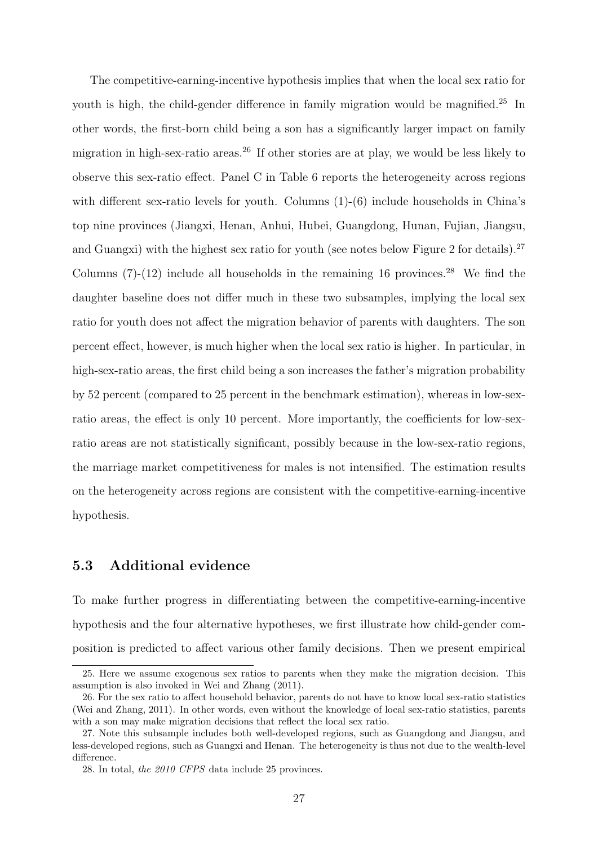The competitive-earning-incentive hypothesis implies that when the local sex ratio for youth is high, the child-gender difference in family migration would be magnified.<sup>25</sup> In other words, the first-born child being a son has a significantly larger impact on family migration in high-sex-ratio areas.<sup>26</sup> If other stories are at play, we would be less likely to observe this sex-ratio effect. Panel C in Table 6 reports the heterogeneity across regions with different sex-ratio levels for youth. Columns  $(1)-(6)$  include households in China's top nine provinces (Jiangxi, Henan, Anhui, Hubei, Guangdong, Hunan, Fujian, Jiangsu, and Guangxi) with the highest sex ratio for youth (see notes below Figure 2 for details).<sup>27</sup> Columns  $(7)-(12)$  include all households in the remaining 16 provinces.<sup>28</sup> We find the daughter baseline does not differ much in these two subsamples, implying the local sex ratio for youth does not affect the migration behavior of parents with daughters. The son percent effect, however, is much higher when the local sex ratio is higher. In particular, in high-sex-ratio areas, the first child being a son increases the father's migration probability by 52 percent (compared to 25 percent in the benchmark estimation), whereas in low-sexratio areas, the effect is only 10 percent. More importantly, the coefficients for low-sexratio areas are not statistically significant, possibly because in the low-sex-ratio regions, the marriage market competitiveness for males is not intensified. The estimation results on the heterogeneity across regions are consistent with the competitive-earning-incentive hypothesis.

#### **5.3 Additional evidence**

To make further progress in differentiating between the competitive-earning-incentive hypothesis and the four alternative hypotheses, we first illustrate how child-gender composition is predicted to affect various other family decisions. Then we present empirical

<sup>25.</sup> Here we assume exogenous sex ratios to parents when they make the migration decision. This assumption is also invoked in Wei and Zhang (2011).

<sup>26.</sup> For the sex ratio to affect household behavior, parents do not have to know local sex-ratio statistics (Wei and Zhang, 2011). In other words, even without the knowledge of local sex-ratio statistics, parents with a son may make migration decisions that reflect the local sex ratio.

<sup>27.</sup> Note this subsample includes both well-developed regions, such as Guangdong and Jiangsu, and less-developed regions, such as Guangxi and Henan. The heterogeneity is thus not due to the wealth-level difference.

<sup>28.</sup> In total, *the 2010 CFPS* data include 25 provinces.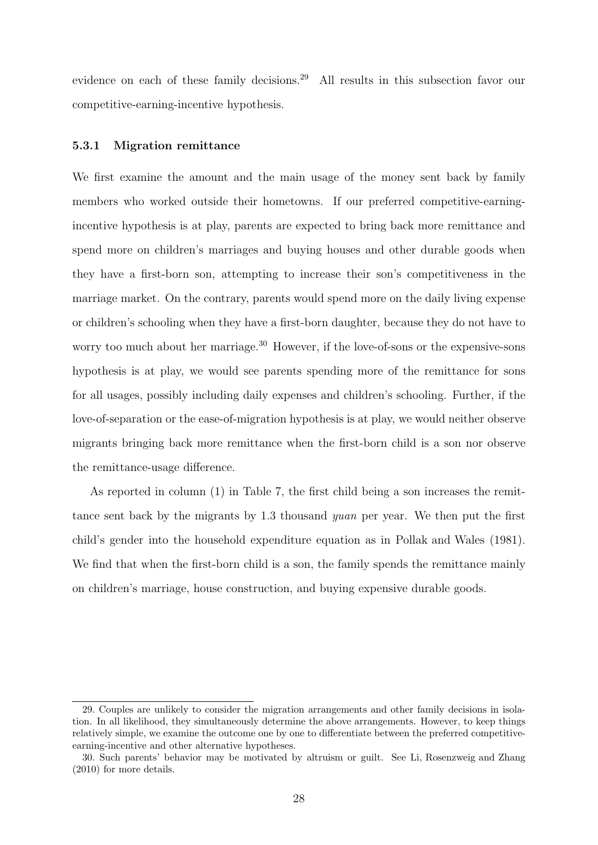evidence on each of these family decisions.<sup>29</sup> All results in this subsection favor our competitive-earning-incentive hypothesis.

#### **5.3.1 Migration remittance**

We first examine the amount and the main usage of the money sent back by family members who worked outside their hometowns. If our preferred competitive-earningincentive hypothesis is at play, parents are expected to bring back more remittance and spend more on children's marriages and buying houses and other durable goods when they have a first-born son, attempting to increase their son's competitiveness in the marriage market. On the contrary, parents would spend more on the daily living expense or children's schooling when they have a first-born daughter, because they do not have to worry too much about her marriage.<sup>30</sup> However, if the love-of-sons or the expensive-sons hypothesis is at play, we would see parents spending more of the remittance for sons for all usages, possibly including daily expenses and children's schooling. Further, if the love-of-separation or the ease-of-migration hypothesis is at play, we would neither observe migrants bringing back more remittance when the first-born child is a son nor observe the remittance-usage difference.

As reported in column (1) in Table 7, the first child being a son increases the remittance sent back by the migrants by 1.3 thousand *yuan* per year. We then put the first child's gender into the household expenditure equation as in Pollak and Wales (1981). We find that when the first-born child is a son, the family spends the remittance mainly on children's marriage, house construction, and buying expensive durable goods.

<sup>29.</sup> Couples are unlikely to consider the migration arrangements and other family decisions in isolation. In all likelihood, they simultaneously determine the above arrangements. However, to keep things relatively simple, we examine the outcome one by one to differentiate between the preferred competitiveearning-incentive and other alternative hypotheses.

<sup>30.</sup> Such parents' behavior may be motivated by altruism or guilt. See Li, Rosenzweig and Zhang (2010) for more details.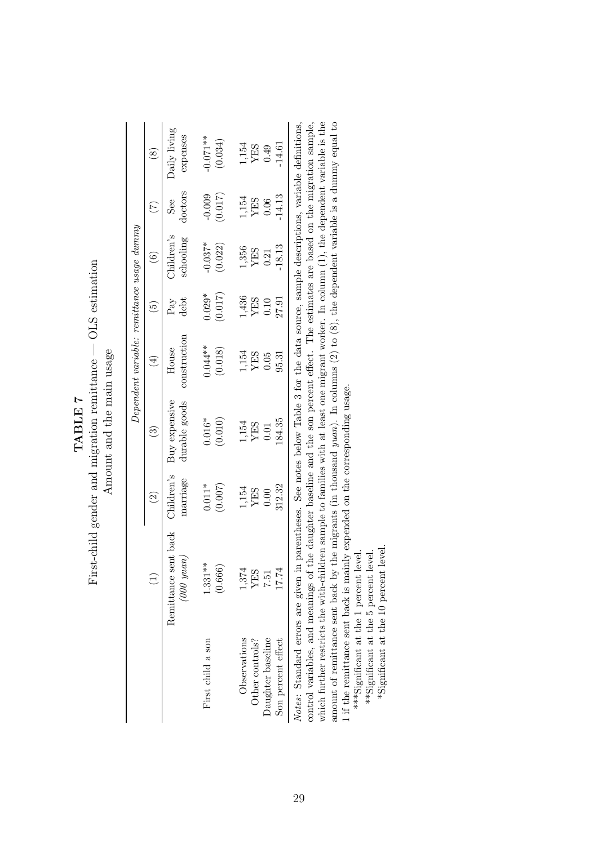|                          | $\sim$<br>てきく                                                      |  |
|--------------------------|--------------------------------------------------------------------|--|
| TABIE 7<br>ן<br>11 11 11 | $m$ nttan $a -$<br>$\mathbf{i}$<br>Ju uvitalotu put Jepuelo k<br>Ì |  |
|                          | リーニー                                                               |  |
|                          |                                                                    |  |
|                          | $\frac{1}{1}$<br>ī<br>ľ                                            |  |

Amount and the main usage Amount and the main usage

|                    |                                                                                                                                          |                        |                                | Dependent variable: remittance usage dummy |                      |                                 |                |                          |
|--------------------|------------------------------------------------------------------------------------------------------------------------------------------|------------------------|--------------------------------|--------------------------------------------|----------------------|---------------------------------|----------------|--------------------------|
|                    |                                                                                                                                          | $\widehat{\Xi}$        | $\widetilde{\mathbb{C}}$       | $\widehat{H}$                              | $\widetilde{5}$      | $\widetilde{\mathbf{e}}$        | E              | $\overset{\sim}{\infty}$ |
|                    | Remittance sent back<br>(000 yuan)                                                                                                       | Children's<br>marriage | Buy expensive<br>durable goods | construction<br>House                      | debt<br>$P_{\rm av}$ | $\Delta$ hildren's<br>schooling | doctors<br>See | Daily living<br>expenses |
| First child a son  | $1.331**$                                                                                                                                | $0.011*$               | $0.016*$                       | $0.044**$                                  | $0.029*$             | $-0.037*$                       | $-0.009$       | $-0.071**$               |
|                    | (0.666)                                                                                                                                  | (0.007)                | (0.010)                        | (0.018)                                    | (0.017)              | (0.022)                         | (0.017)        | (0.034)                  |
| Observations       | 1,374                                                                                                                                    | 1,154                  | 1,154                          | 1,154                                      | 1,436                | 1,356                           | 1,154          |                          |
| Other controls?    | YES                                                                                                                                      | YES                    | YES                            | <b>YES</b>                                 | YES                  | YES                             | <b>YES</b>     | 1,154<br>YES             |
| Daughter baseline  | 7.51                                                                                                                                     | $0.00$                 | 0.01                           | 0.05                                       | 0.10                 | 0.21                            | 0.06           | 0.49                     |
| Son percent effect | 17.74                                                                                                                                    | 312.32                 | 184.35                         | 95.31                                      | 27.91                | 18.13                           | 14.13          | 14.61                    |
|                    | Notes: Standard errors are given in parentheses. See notes below Table 3 for the data source, sample descriptions, variable definitions, |                        |                                |                                            |                      |                                 |                |                          |
|                    | control variables, and meanings of the daughter baseline and the son percent effect. The estimates are based on the migration sample,    |                        |                                |                                            |                      |                                 |                |                          |

which further restricts the with-children sample to families with at least one migrant worker. In column (1), the dependent variable is the amount of remittance sent back by the migrants (in thousand  $yuan$ ). In columns  $(2)$  to  $(8)$ , the dependent variable is a dummy equal to 1 if the remittance sent back is mainly expended on the corresponding usage. which further restricts the with-children sample to families with at least one migrant worker. In column (1), the dependent variable is the amount of remittance sent back by the migrants (in thousand *yuan*). In columns (2) to (8), the dependent variable is a dummy equal to control variables, and meanings of the daughter baseline and the son percent effect. The estimates are based on the migration sample, 1 if the remittance sent back is mainly expended on the corresponding usage.

\*\*\*Significant at the 1 percent level.

\*\*\*Significant at the 1 percent level.

 $\rm ^{\ast *}$  Significant at the 5 percent level.  $\rm ^{\ast}$  Significant at the 10 percent level. \*\*Significant at the 5 percent level.

\*Significant at the 10 percent level.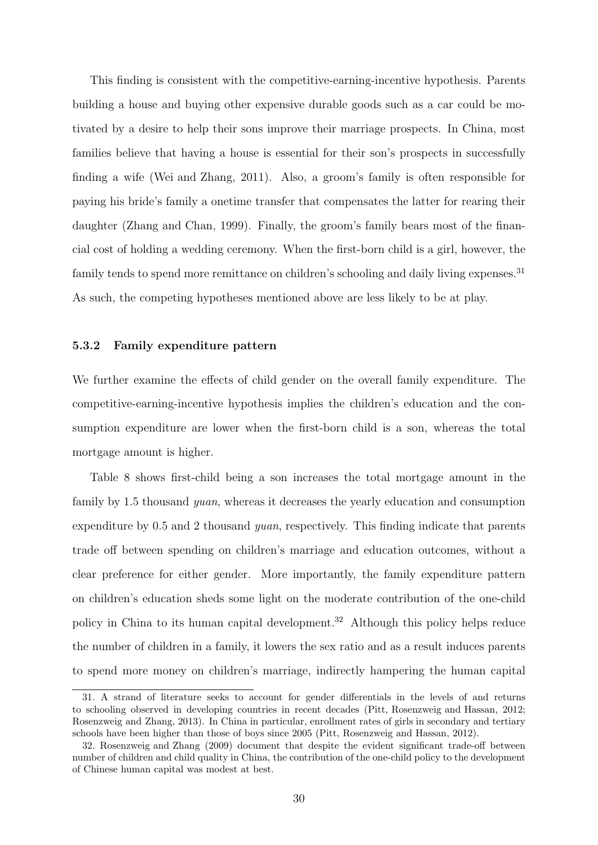This finding is consistent with the competitive-earning-incentive hypothesis. Parents building a house and buying other expensive durable goods such as a car could be motivated by a desire to help their sons improve their marriage prospects. In China, most families believe that having a house is essential for their son's prospects in successfully finding a wife (Wei and Zhang, 2011). Also, a groom's family is often responsible for paying his bride's family a onetime transfer that compensates the latter for rearing their daughter (Zhang and Chan, 1999). Finally, the groom's family bears most of the financial cost of holding a wedding ceremony. When the first-born child is a girl, however, the family tends to spend more remittance on children's schooling and daily living expenses.<sup>31</sup> As such, the competing hypotheses mentioned above are less likely to be at play.

#### **5.3.2 Family expenditure pattern**

We further examine the effects of child gender on the overall family expenditure. The competitive-earning-incentive hypothesis implies the children's education and the consumption expenditure are lower when the first-born child is a son, whereas the total mortgage amount is higher.

Table 8 shows first-child being a son increases the total mortgage amount in the family by 1.5 thousand *yuan*, whereas it decreases the yearly education and consumption expenditure by 0.5 and 2 thousand *yuan*, respectively. This finding indicate that parents trade off between spending on children's marriage and education outcomes, without a clear preference for either gender. More importantly, the family expenditure pattern on children's education sheds some light on the moderate contribution of the one-child policy in China to its human capital development.<sup>32</sup> Although this policy helps reduce the number of children in a family, it lowers the sex ratio and as a result induces parents to spend more money on children's marriage, indirectly hampering the human capital

<sup>31.</sup> A strand of literature seeks to account for gender differentials in the levels of and returns to schooling observed in developing countries in recent decades (Pitt, Rosenzweig and Hassan, 2012; Rosenzweig and Zhang, 2013). In China in particular, enrollment rates of girls in secondary and tertiary schools have been higher than those of boys since 2005 (Pitt, Rosenzweig and Hassan, 2012).

<sup>32.</sup> Rosenzweig and Zhang (2009) document that despite the evident significant trade-off between number of children and child quality in China, the contribution of the one-child policy to the development of Chinese human capital was modest at best.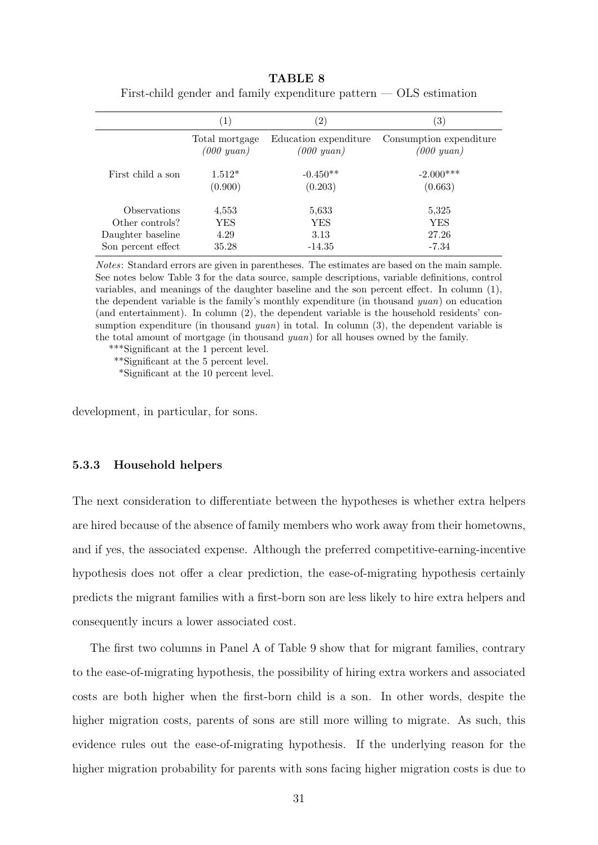|                    | $\left( 1\right)$                 | $\left( 2\right)$                        | $\left( 3\right)$                          |
|--------------------|-----------------------------------|------------------------------------------|--------------------------------------------|
|                    | Total mortgage<br>$(000 \; yuan)$ | Education expenditure<br>$(000 \; yuan)$ | Consumption expenditure<br>$(000 \; yuan)$ |
| First child a son  | $1.512*$<br>(0.900)               | $-0.450**$<br>(0.203)                    | $-2.000***$<br>(0.663)                     |
| Observations       | 4,553                             | 5,633                                    | 5,325                                      |
| Other controls?    | YES                               | YES                                      | <b>YES</b>                                 |
| Daughter baseline  | 4.29                              | 3.13                                     | 27.26                                      |
| Son percent effect | 35.28                             | $-14.35$                                 | -7.34                                      |

**TABLE 8** First-child gender and family expenditure pattern  $-$  OLS estimation

*Notes*: Standard errors are given in parentheses. The estimates are based on the main sample. See notes below Table 3 for the data source, sample descriptions, variable definitions, control variables, and meanings of the daughter baseline and the son percent effect. In column (1), the dependent variable is the family's monthly expenditure (in thousand *yuan*) on education (and entertainment). In column (2), the dependent variable is the household residents' consumption expenditure (in thousand *yuan*) in total. In column (3), the dependent variable is the total amount of mortgage (in thousand *yuan*) for all houses owned by the family.

\*\*\*Significant at the 1 percent level.

\*\*Significant at the 5 percent level.

\*Significant at the 10 percent level.

development, in particular, for sons.

#### **5.3.3 Household helpers**

The next consideration to differentiate between the hypotheses is whether extra helpers are hired because of the absence of family members who work away from their hometowns, and if yes, the associated expense. Although the preferred competitive-earning-incentive hypothesis does not offer a clear prediction, the ease-of-migrating hypothesis certainly predicts the migrant families with a first-born son are less likely to hire extra helpers and consequently incurs a lower associated cost.

The first two columns in Panel A of Table 9 show that for migrant families, contrary to the ease-of-migrating hypothesis, the possibility of hiring extra workers and associated costs are both higher when the first-born child is a son. In other words, despite the higher migration costs, parents of sons are still more willing to migrate. As such, this evidence rules out the ease-of-migrating hypothesis. If the underlying reason for the higher migration probability for parents with sons facing higher migration costs is due to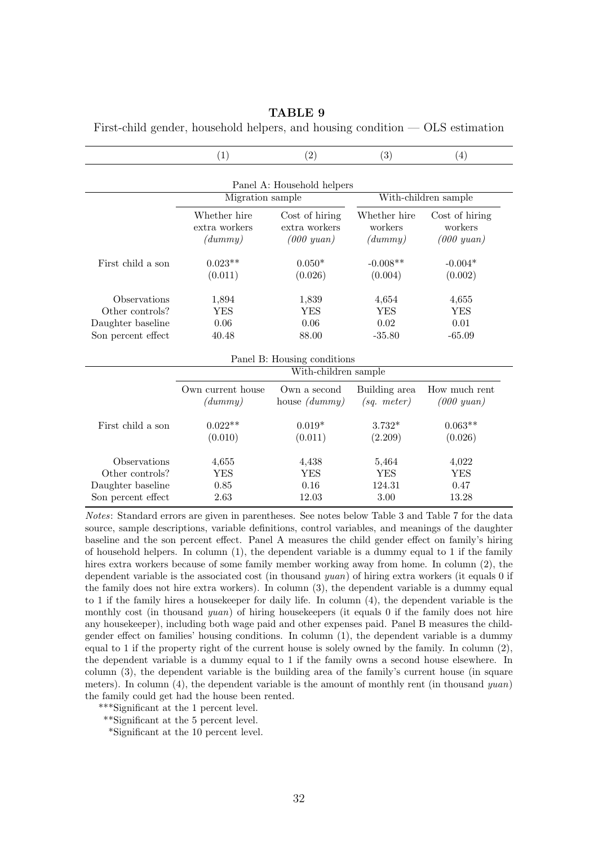|                             | (1)                  | (2)                        | (3)              | (4)                  |  |  |  |
|-----------------------------|----------------------|----------------------------|------------------|----------------------|--|--|--|
|                             |                      | Panel A: Household helpers |                  |                      |  |  |  |
|                             | Migration sample     |                            |                  | With-children sample |  |  |  |
|                             | Whether hire         | Cost of hiring             | Whether hire     | Cost of hiring       |  |  |  |
|                             | extra workers        | extra workers              | workers          | workers              |  |  |  |
|                             | (dummy)              | $(000 \; yuan)$            | (dummy)          | $(000 \; yuan)$      |  |  |  |
| First child a son           | $0.023**$            | $0.050*$                   | $-0.008**$       | $-0.004*$            |  |  |  |
|                             | (0.011)              | (0.026)                    | (0.004)          | (0.002)              |  |  |  |
| Observations                | 1,894                | 1,839                      | 4,654            | 4,655                |  |  |  |
| Other controls?             | <b>YES</b>           | <b>YES</b>                 | <b>YES</b>       | <b>YES</b>           |  |  |  |
| Daughter baseline           | 0.06                 | 0.06                       | 0.02             | 0.01                 |  |  |  |
| Son percent effect          | 40.48                | 88.00                      | $-35.80$         | $-65.09$             |  |  |  |
| Panel B: Housing conditions |                      |                            |                  |                      |  |  |  |
|                             | With-children sample |                            |                  |                      |  |  |  |
|                             | Own current house    | Own a second               | Building area    | How much rent        |  |  |  |
|                             | (dummy)              | house $(dummy)$            | $(sq. \, meter)$ | $(000\; yuan)$       |  |  |  |
| First child a son           | $0.022**$            | $0.019*$                   | $3.732*$         | $0.063**$            |  |  |  |
|                             | (0.010)              | (0.011)                    | (2.209)          | (0.026)              |  |  |  |
| Observations                | 4,655                | 4,438                      | 5,464            | 4,022                |  |  |  |
| Other controls?             | <b>YES</b>           | <b>YES</b>                 | <b>YES</b>       | <b>YES</b>           |  |  |  |
| Daughter baseline           | 0.85                 | 0.16                       | 124.31           | 0.47                 |  |  |  |
| Son percent effect          | 2.63                 | 12.03                      | 3.00             | 13.28                |  |  |  |

**TABLE 9**

First-child gender, household helpers, and housing condition — OLS estimation

*Notes*: Standard errors are given in parentheses. See notes below Table 3 and Table 7 for the data source, sample descriptions, variable definitions, control variables, and meanings of the daughter baseline and the son percent effect. Panel A measures the child gender effect on family's hiring of household helpers. In column  $(1)$ , the dependent variable is a dummy equal to 1 if the family hires extra workers because of some family member working away from home. In column (2), the dependent variable is the associated cost (in thousand *yuan*) of hiring extra workers (it equals 0 if the family does not hire extra workers). In column (3), the dependent variable is a dummy equal to 1 if the family hires a housekeeper for daily life. In column (4), the dependent variable is the monthly cost (in thousand *yuan*) of hiring housekeepers (it equals 0 if the family does not hire any housekeeper), including both wage paid and other expenses paid. Panel B measures the childgender effect on families' housing conditions. In column (1), the dependent variable is a dummy equal to 1 if the property right of the current house is solely owned by the family. In column  $(2)$ , the dependent variable is a dummy equal to 1 if the family owns a second house elsewhere. In column (3), the dependent variable is the building area of the family's current house (in square meters). In column (4), the dependent variable is the amount of monthly rent (in thousand *yuan*) the family could get had the house been rented.

\*\*\*Significant at the 1 percent level.

\*\*Significant at the 5 percent level.

\*Significant at the 10 percent level.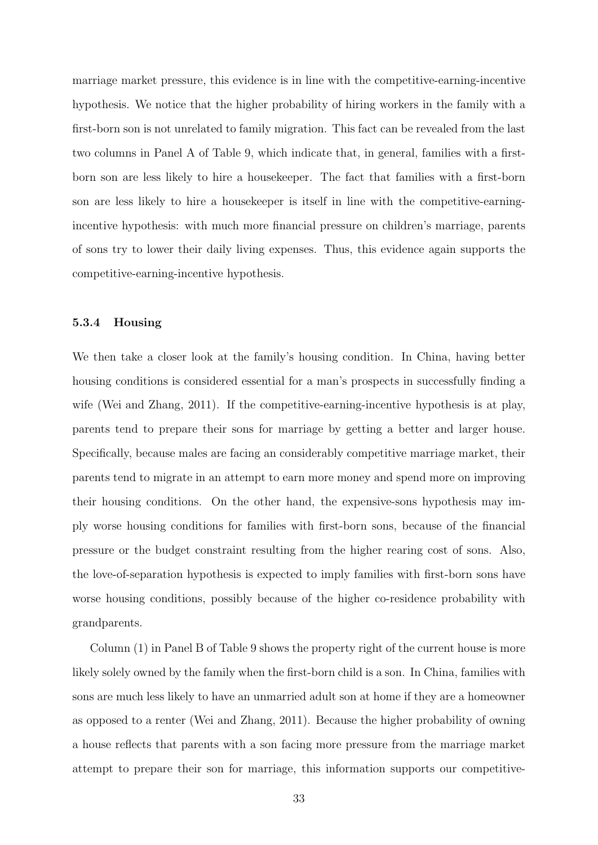marriage market pressure, this evidence is in line with the competitive-earning-incentive hypothesis. We notice that the higher probability of hiring workers in the family with a first-born son is not unrelated to family migration. This fact can be revealed from the last two columns in Panel A of Table 9, which indicate that, in general, families with a firstborn son are less likely to hire a housekeeper. The fact that families with a first-born son are less likely to hire a housekeeper is itself in line with the competitive-earningincentive hypothesis: with much more financial pressure on children's marriage, parents of sons try to lower their daily living expenses. Thus, this evidence again supports the competitive-earning-incentive hypothesis.

#### **5.3.4 Housing**

We then take a closer look at the family's housing condition. In China, having better housing conditions is considered essential for a man's prospects in successfully finding a wife (Wei and Zhang, 2011). If the competitive-earning-incentive hypothesis is at play, parents tend to prepare their sons for marriage by getting a better and larger house. Specifically, because males are facing an considerably competitive marriage market, their parents tend to migrate in an attempt to earn more money and spend more on improving their housing conditions. On the other hand, the expensive-sons hypothesis may imply worse housing conditions for families with first-born sons, because of the financial pressure or the budget constraint resulting from the higher rearing cost of sons. Also, the love-of-separation hypothesis is expected to imply families with first-born sons have worse housing conditions, possibly because of the higher co-residence probability with grandparents.

Column (1) in Panel B of Table 9 shows the property right of the current house is more likely solely owned by the family when the first-born child is a son. In China, families with sons are much less likely to have an unmarried adult son at home if they are a homeowner as opposed to a renter (Wei and Zhang, 2011). Because the higher probability of owning a house reflects that parents with a son facing more pressure from the marriage market attempt to prepare their son for marriage, this information supports our competitive-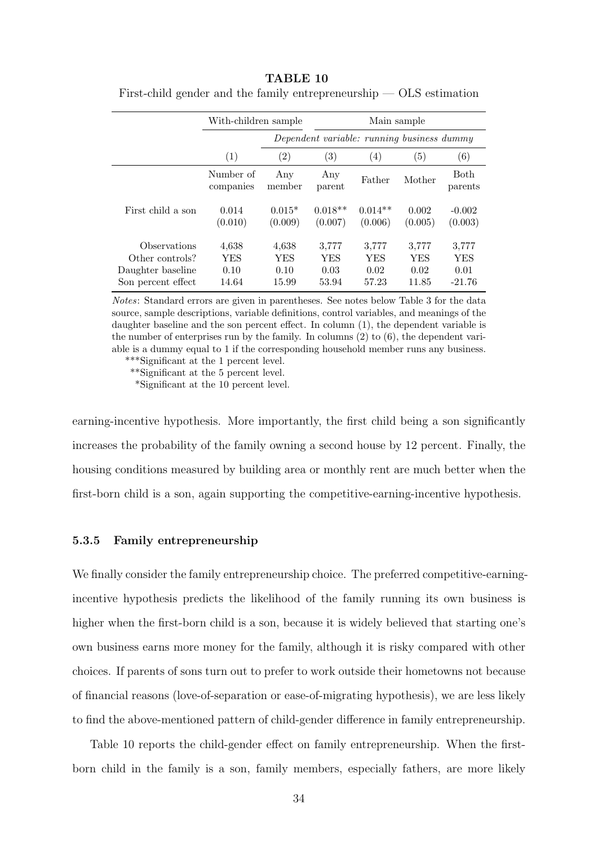|                    | With-children sample   |                     |                                            |                      | Main sample       |                        |
|--------------------|------------------------|---------------------|--------------------------------------------|----------------------|-------------------|------------------------|
|                    |                        |                     | Dependent variable: running business dummy |                      |                   |                        |
|                    | (1)                    | $\left( 2\right)$   | (3)                                        | (4)                  | $\left( 5\right)$ | (6)                    |
|                    | Number of<br>companies | Any<br>member       | Any<br>parent                              | Father               | Mother            | <b>Both</b><br>parents |
| First child a son  | 0.014<br>(0.010)       | $0.015*$<br>(0.009) | $0.018**$<br>(0.007)                       | $0.014**$<br>(0.006) | 0.002<br>(0.005)  | $-0.002$<br>(0.003)    |
| Observations       | 4,638                  | 4,638               | 3,777                                      | 3,777                | 3,777             | 3,777                  |
| Other controls?    | YES                    | YES                 | <b>YES</b>                                 | YES                  | YES               | YES                    |
| Daughter baseline  | 0.10                   | 0.10                | 0.03                                       | 0.02                 | 0.02              | 0.01                   |
| Son percent effect | 14.64                  | 15.99               | 53.94                                      | 57.23                | 11.85             | $-21.76$               |

**TABLE 10** First-child gender and the family entrepreneurship — OLS estimation

*Notes*: Standard errors are given in parentheses. See notes below Table 3 for the data source, sample descriptions, variable definitions, control variables, and meanings of the daughter baseline and the son percent effect. In column (1), the dependent variable is the number of enterprises run by the family. In columns  $(2)$  to  $(6)$ , the dependent variable is a dummy equal to 1 if the corresponding household member runs any business.

\*\*\*Significant at the 1 percent level.

\*\*Significant at the 5 percent level.

\*Significant at the 10 percent level.

earning-incentive hypothesis. More importantly, the first child being a son significantly increases the probability of the family owning a second house by 12 percent. Finally, the housing conditions measured by building area or monthly rent are much better when the first-born child is a son, again supporting the competitive-earning-incentive hypothesis.

#### **5.3.5 Family entrepreneurship**

We finally consider the family entrepreneurship choice. The preferred competitive-earningincentive hypothesis predicts the likelihood of the family running its own business is higher when the first-born child is a son, because it is widely believed that starting one's own business earns more money for the family, although it is risky compared with other choices. If parents of sons turn out to prefer to work outside their hometowns not because of financial reasons (love-of-separation or ease-of-migrating hypothesis), we are less likely to find the above-mentioned pattern of child-gender difference in family entrepreneurship.

Table 10 reports the child-gender effect on family entrepreneurship. When the firstborn child in the family is a son, family members, especially fathers, are more likely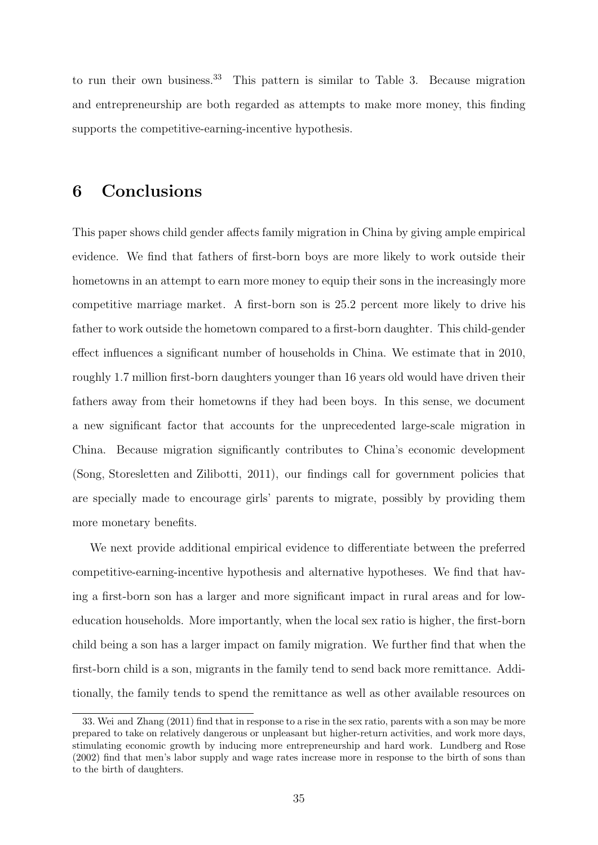to run their own business.<sup>33</sup> This pattern is similar to Table 3. Because migration and entrepreneurship are both regarded as attempts to make more money, this finding supports the competitive-earning-incentive hypothesis.

## **6 Conclusions**

This paper shows child gender affects family migration in China by giving ample empirical evidence. We find that fathers of first-born boys are more likely to work outside their hometowns in an attempt to earn more money to equip their sons in the increasingly more competitive marriage market. A first-born son is 25.2 percent more likely to drive his father to work outside the hometown compared to a first-born daughter. This child-gender effect influences a significant number of households in China. We estimate that in 2010, roughly 1.7 million first-born daughters younger than 16 years old would have driven their fathers away from their hometowns if they had been boys. In this sense, we document a new significant factor that accounts for the unprecedented large-scale migration in China. Because migration significantly contributes to China's economic development (Song, Storesletten and Zilibotti, 2011), our findings call for government policies that are specially made to encourage girls' parents to migrate, possibly by providing them more monetary benefits.

We next provide additional empirical evidence to differentiate between the preferred competitive-earning-incentive hypothesis and alternative hypotheses. We find that having a first-born son has a larger and more significant impact in rural areas and for loweducation households. More importantly, when the local sex ratio is higher, the first-born child being a son has a larger impact on family migration. We further find that when the first-born child is a son, migrants in the family tend to send back more remittance. Additionally, the family tends to spend the remittance as well as other available resources on

<sup>33.</sup> Wei and Zhang (2011) find that in response to a rise in the sex ratio, parents with a son may be more prepared to take on relatively dangerous or unpleasant but higher-return activities, and work more days, stimulating economic growth by inducing more entrepreneurship and hard work. Lundberg and Rose (2002) find that men's labor supply and wage rates increase more in response to the birth of sons than to the birth of daughters.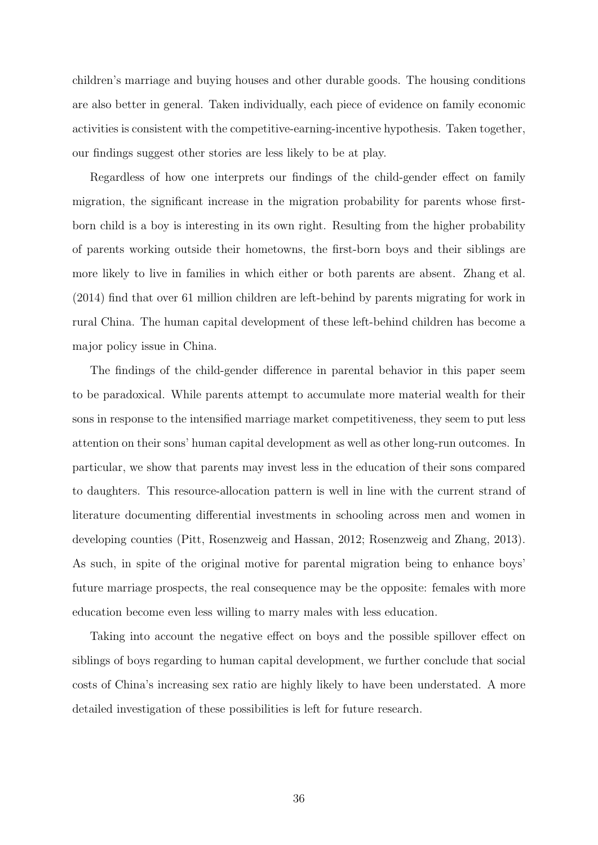children's marriage and buying houses and other durable goods. The housing conditions are also better in general. Taken individually, each piece of evidence on family economic activities is consistent with the competitive-earning-incentive hypothesis. Taken together, our findings suggest other stories are less likely to be at play.

Regardless of how one interprets our findings of the child-gender effect on family migration, the significant increase in the migration probability for parents whose firstborn child is a boy is interesting in its own right. Resulting from the higher probability of parents working outside their hometowns, the first-born boys and their siblings are more likely to live in families in which either or both parents are absent. Zhang et al. (2014) find that over 61 million children are left-behind by parents migrating for work in rural China. The human capital development of these left-behind children has become a major policy issue in China.

The findings of the child-gender difference in parental behavior in this paper seem to be paradoxical. While parents attempt to accumulate more material wealth for their sons in response to the intensified marriage market competitiveness, they seem to put less attention on their sons' human capital development as well as other long-run outcomes. In particular, we show that parents may invest less in the education of their sons compared to daughters. This resource-allocation pattern is well in line with the current strand of literature documenting differential investments in schooling across men and women in developing counties (Pitt, Rosenzweig and Hassan, 2012; Rosenzweig and Zhang, 2013). As such, in spite of the original motive for parental migration being to enhance boys' future marriage prospects, the real consequence may be the opposite: females with more education become even less willing to marry males with less education.

Taking into account the negative effect on boys and the possible spillover effect on siblings of boys regarding to human capital development, we further conclude that social costs of China's increasing sex ratio are highly likely to have been understated. A more detailed investigation of these possibilities is left for future research.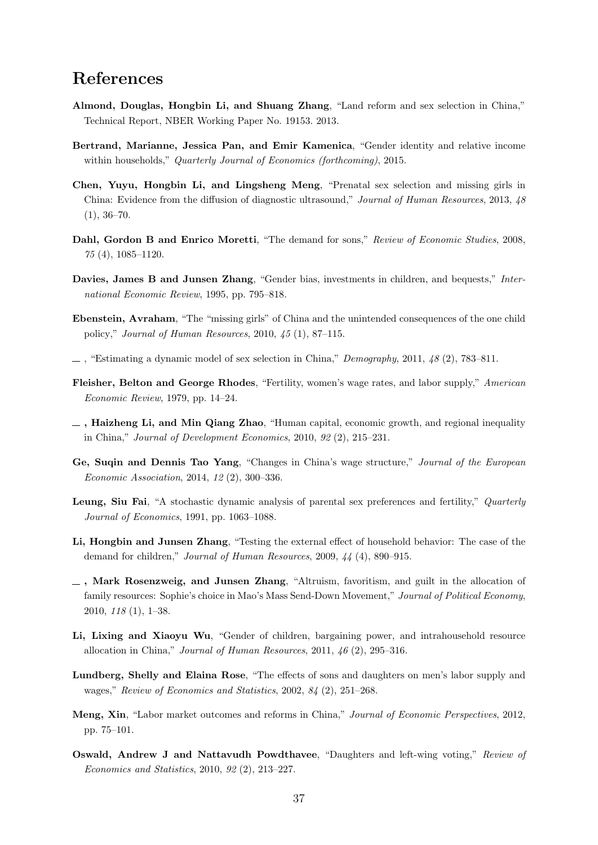## **References**

- **Almond, Douglas, Hongbin Li, and Shuang Zhang**, "Land reform and sex selection in China," Technical Report, NBER Working Paper No. 19153. 2013.
- **Bertrand, Marianne, Jessica Pan, and Emir Kamenica**, "Gender identity and relative income within households," *Quarterly Journal of Economics (forthcoming)*, 2015.
- **Chen, Yuyu, Hongbin Li, and Lingsheng Meng**, "Prenatal sex selection and missing girls in China: Evidence from the diffusion of diagnostic ultrasound," *Journal of Human Resources*, 2013, *48*  $(1), 36-70.$
- **Dahl, Gordon B and Enrico Moretti**, "The demand for sons," *Review of Economic Studies*, 2008, *75* (4), 1085–1120.
- **Davies, James B and Junsen Zhang**, "Gender bias, investments in children, and bequests," *International Economic Review*, 1995, pp. 795–818.
- **Ebenstein, Avraham**, "The "missing girls" of China and the unintended consequences of the one child policy," *Journal of Human Resources*, 2010, *45* (1), 87–115.
- , "Estimating a dynamic model of sex selection in China," *Demography*, 2011, *48* (2), 783–811.
- **Fleisher, Belton and George Rhodes**, "Fertility, women's wage rates, and labor supply," *American Economic Review*, 1979, pp. 14–24.
- **, Haizheng Li, and Min Qiang Zhao**, "Human capital, economic growth, and regional inequality in China," *Journal of Development Economics*, 2010, *92* (2), 215–231.
- **Ge, Suqin and Dennis Tao Yang**, "Changes in China's wage structure," *Journal of the European Economic Association*, 2014, *12* (2), 300–336.
- **Leung, Siu Fai**, "A stochastic dynamic analysis of parental sex preferences and fertility," *Quarterly Journal of Economics*, 1991, pp. 1063–1088.
- **Li, Hongbin and Junsen Zhang**, "Testing the external effect of household behavior: The case of the demand for children," *Journal of Human Resources*, 2009, *44* (4), 890–915.
- **, Mark Rosenzweig, and Junsen Zhang**, "Altruism, favoritism, and guilt in the allocation of family resources: Sophie's choice in Mao's Mass Send-Down Movement," *Journal of Political Economy*, 2010, *118* (1), 1–38.
- Li, Lixing and Xiaoyu Wu, "Gender of children, bargaining power, and intrahousehold resource allocation in China," *Journal of Human Resources*, 2011, *46* (2), 295–316.
- **Lundberg, Shelly and Elaina Rose**, "The effects of sons and daughters on men's labor supply and wages," *Review of Economics and Statistics*, 2002, *84* (2), 251–268.
- **Meng, Xin**, "Labor market outcomes and reforms in China," *Journal of Economic Perspectives*, 2012, pp. 75–101.
- **Oswald, Andrew J and Nattavudh Powdthavee**, "Daughters and left-wing voting," *Review of Economics and Statistics*, 2010, *92* (2), 213–227.